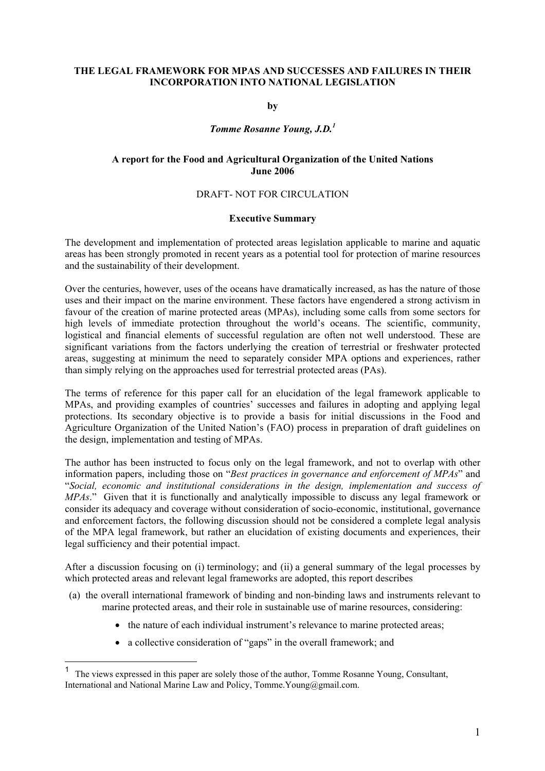### **THE LEGAL FRAMEWORK FOR MPAS AND SUCCESSES AND FAILURES IN THEIR INCORPORATION INTO NATIONAL LEGISLATION**

**by** 

# *Tomme Rosanne Young, J.D.<sup>1</sup>*

### **A report for the Food and Agricultural Organization of the United Nations June 2006**

### DRAFT- NOT FOR CIRCULATION

### **Executive Summary**

The development and implementation of protected areas legislation applicable to marine and aquatic areas has been strongly promoted in recent years as a potential tool for protection of marine resources and the sustainability of their development.

Over the centuries, however, uses of the oceans have dramatically increased, as has the nature of those uses and their impact on the marine environment. These factors have engendered a strong activism in favour of the creation of marine protected areas (MPAs), including some calls from some sectors for high levels of immediate protection throughout the world's oceans. The scientific, community, logistical and financial elements of successful regulation are often not well understood. These are significant variations from the factors underlying the creation of terrestrial or freshwater protected areas, suggesting at minimum the need to separately consider MPA options and experiences, rather than simply relying on the approaches used for terrestrial protected areas (PAs).

The terms of reference for this paper call for an elucidation of the legal framework applicable to MPAs, and providing examples of countries' successes and failures in adopting and applying legal protections. Its secondary objective is to provide a basis for initial discussions in the Food and Agriculture Organization of the United Nation's (FAO) process in preparation of draft guidelines on the design, implementation and testing of MPAs.

The author has been instructed to focus only on the legal framework, and not to overlap with other information papers, including those on "*Best practices in governance and enforcement of MPAs*" and "*Social, economic and institutional considerations in the design, implementation and success of MPAs*." Given that it is functionally and analytically impossible to discuss any legal framework or consider its adequacy and coverage without consideration of socio-economic, institutional, governance and enforcement factors, the following discussion should not be considered a complete legal analysis of the MPA legal framework, but rather an elucidation of existing documents and experiences, their legal sufficiency and their potential impact.

After a discussion focusing on (i) terminology; and (ii) a general summary of the legal processes by which protected areas and relevant legal frameworks are adopted, this report describes

- (a) the overall international framework of binding and non-binding laws and instruments relevant to marine protected areas, and their role in sustainable use of marine resources, considering:
	- the nature of each individual instrument's relevance to marine protected areas;
	- a collective consideration of "gaps" in the overall framework; and

<sup>&</sup>lt;sup>1</sup> The views expressed in this paper are solely those of the author, Tomme Rosanne Young, Consultant, International and National Marine Law and Policy, Tomme.Young@gmail.com.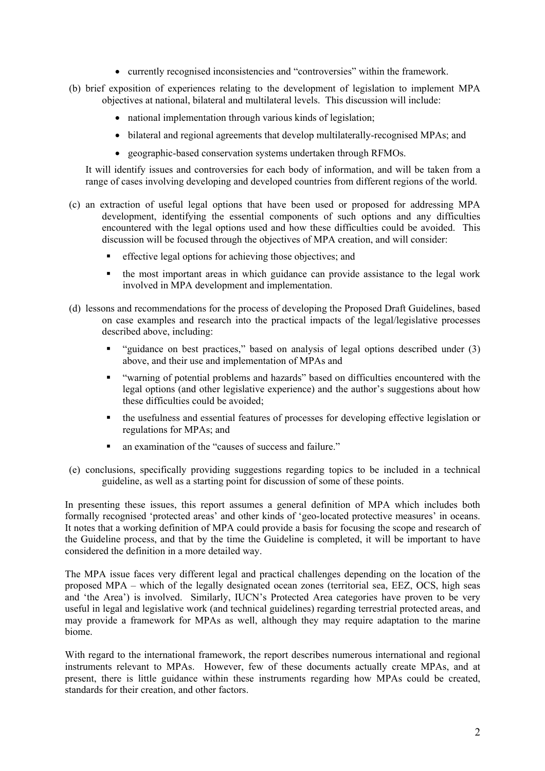- currently recognised inconsistencies and "controversies" within the framework.
- (b) brief exposition of experiences relating to the development of legislation to implement MPA objectives at national, bilateral and multilateral levels. This discussion will include:
	- national implementation through various kinds of legislation;
	- bilateral and regional agreements that develop multilaterally-recognised MPAs; and
	- geographic-based conservation systems undertaken through RFMOs.

It will identify issues and controversies for each body of information, and will be taken from a range of cases involving developing and developed countries from different regions of the world.

- (c) an extraction of useful legal options that have been used or proposed for addressing MPA development, identifying the essential components of such options and any difficulties encountered with the legal options used and how these difficulties could be avoided. This discussion will be focused through the objectives of MPA creation, and will consider:
	- effective legal options for achieving those objectives; and
	- the most important areas in which guidance can provide assistance to the legal work involved in MPA development and implementation.
- (d) lessons and recommendations for the process of developing the Proposed Draft Guidelines, based on case examples and research into the practical impacts of the legal/legislative processes described above, including:
	- "guidance on best practices," based on analysis of legal options described under (3) above, and their use and implementation of MPAs and
	- "warning of potential problems and hazards" based on difficulties encountered with the legal options (and other legislative experience) and the author's suggestions about how these difficulties could be avoided;
	- the usefulness and essential features of processes for developing effective legislation or regulations for MPAs; and
	- an examination of the "causes of success and failure."
- (e) conclusions, specifically providing suggestions regarding topics to be included in a technical guideline, as well as a starting point for discussion of some of these points.

In presenting these issues, this report assumes a general definition of MPA which includes both formally recognised 'protected areas' and other kinds of 'geo-located protective measures' in oceans. It notes that a working definition of MPA could provide a basis for focusing the scope and research of the Guideline process, and that by the time the Guideline is completed, it will be important to have considered the definition in a more detailed way.

The MPA issue faces very different legal and practical challenges depending on the location of the proposed MPA – which of the legally designated ocean zones (territorial sea, EEZ, OCS, high seas and 'the Area') is involved. Similarly, IUCN's Protected Area categories have proven to be very useful in legal and legislative work (and technical guidelines) regarding terrestrial protected areas, and may provide a framework for MPAs as well, although they may require adaptation to the marine biome.

With regard to the international framework, the report describes numerous international and regional instruments relevant to MPAs. However, few of these documents actually create MPAs, and at present, there is little guidance within these instruments regarding how MPAs could be created, standards for their creation, and other factors.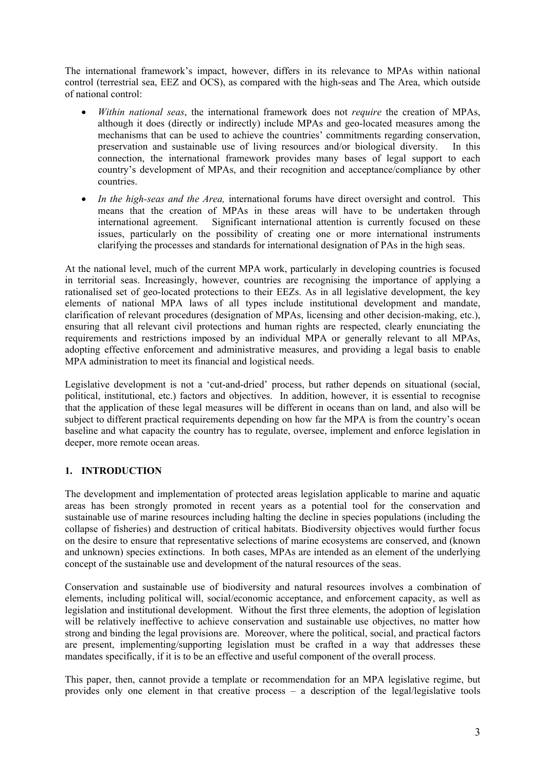The international framework's impact, however, differs in its relevance to MPAs within national control (terrestrial sea, EEZ and OCS), as compared with the high-seas and The Area, which outside of national control:

- *Within national seas*, the international framework does not *require* the creation of MPAs, although it does (directly or indirectly) include MPAs and geo-located measures among the mechanisms that can be used to achieve the countries' commitments regarding conservation, preservation and sustainable use of living resources and/or biological diversity. In this connection, the international framework provides many bases of legal support to each country's development of MPAs, and their recognition and acceptance/compliance by other countries.
- *In the high-seas and the Area,* international forums have direct oversight and control. This means that the creation of MPAs in these areas will have to be undertaken through international agreement. Significant international attention is currently focused on these issues, particularly on the possibility of creating one or more international instruments clarifying the processes and standards for international designation of PAs in the high seas.

At the national level, much of the current MPA work, particularly in developing countries is focused in territorial seas. Increasingly, however, countries are recognising the importance of applying a rationalised set of geo-located protections to their EEZs. As in all legislative development, the key elements of national MPA laws of all types include institutional development and mandate, clarification of relevant procedures (designation of MPAs, licensing and other decision-making, etc.), ensuring that all relevant civil protections and human rights are respected, clearly enunciating the requirements and restrictions imposed by an individual MPA or generally relevant to all MPAs, adopting effective enforcement and administrative measures, and providing a legal basis to enable MPA administration to meet its financial and logistical needs.

Legislative development is not a 'cut-and-dried' process, but rather depends on situational (social, political, institutional, etc.) factors and objectives. In addition, however, it is essential to recognise that the application of these legal measures will be different in oceans than on land, and also will be subject to different practical requirements depending on how far the MPA is from the country's ocean baseline and what capacity the country has to regulate, oversee, implement and enforce legislation in deeper, more remote ocean areas.

# **1. INTRODUCTION**

The development and implementation of protected areas legislation applicable to marine and aquatic areas has been strongly promoted in recent years as a potential tool for the conservation and sustainable use of marine resources including halting the decline in species populations (including the collapse of fisheries) and destruction of critical habitats. Biodiversity objectives would further focus on the desire to ensure that representative selections of marine ecosystems are conserved, and (known and unknown) species extinctions. In both cases, MPAs are intended as an element of the underlying concept of the sustainable use and development of the natural resources of the seas.

Conservation and sustainable use of biodiversity and natural resources involves a combination of elements, including political will, social/economic acceptance, and enforcement capacity, as well as legislation and institutional development. Without the first three elements, the adoption of legislation will be relatively ineffective to achieve conservation and sustainable use objectives, no matter how strong and binding the legal provisions are. Moreover, where the political, social, and practical factors are present, implementing/supporting legislation must be crafted in a way that addresses these mandates specifically, if it is to be an effective and useful component of the overall process.

This paper, then, cannot provide a template or recommendation for an MPA legislative regime, but provides only one element in that creative process – a description of the legal/legislative tools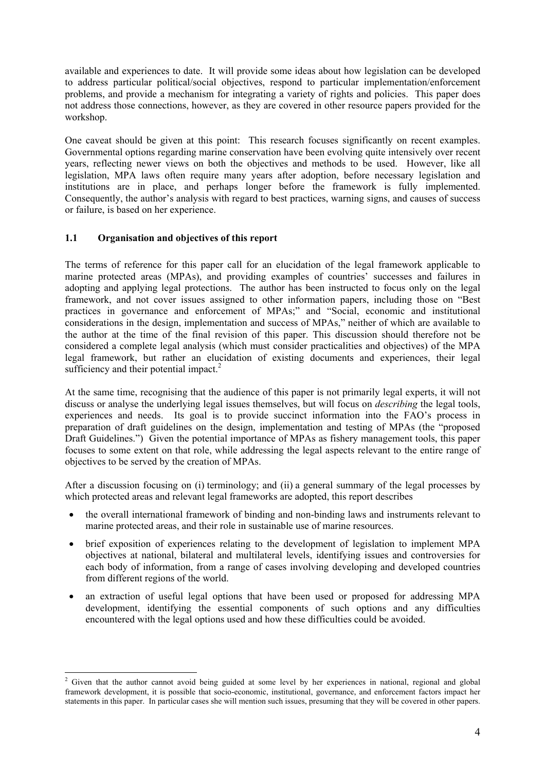available and experiences to date. It will provide some ideas about how legislation can be developed to address particular political/social objectives, respond to particular implementation/enforcement problems, and provide a mechanism for integrating a variety of rights and policies. This paper does not address those connections, however, as they are covered in other resource papers provided for the workshop.

One caveat should be given at this point: This research focuses significantly on recent examples. Governmental options regarding marine conservation have been evolving quite intensively over recent years, reflecting newer views on both the objectives and methods to be used. However, like all legislation, MPA laws often require many years after adoption, before necessary legislation and institutions are in place, and perhaps longer before the framework is fully implemented. Consequently, the author's analysis with regard to best practices, warning signs, and causes of success or failure, is based on her experience.

# **1.1 Organisation and objectives of this report**

The terms of reference for this paper call for an elucidation of the legal framework applicable to marine protected areas (MPAs), and providing examples of countries' successes and failures in adopting and applying legal protections. The author has been instructed to focus only on the legal framework, and not cover issues assigned to other information papers, including those on "Best practices in governance and enforcement of MPAs;" and "Social, economic and institutional considerations in the design, implementation and success of MPAs," neither of which are available to the author at the time of the final revision of this paper. This discussion should therefore not be considered a complete legal analysis (which must consider practicalities and objectives) of the MPA legal framework, but rather an elucidation of existing documents and experiences, their legal sufficiency and their potential impact. $2$ 

At the same time, recognising that the audience of this paper is not primarily legal experts, it will not discuss or analyse the underlying legal issues themselves, but will focus on *describing* the legal tools, experiences and needs. Its goal is to provide succinct information into the FAO's process in preparation of draft guidelines on the design, implementation and testing of MPAs (the "proposed Draft Guidelines.") Given the potential importance of MPAs as fishery management tools, this paper focuses to some extent on that role, while addressing the legal aspects relevant to the entire range of objectives to be served by the creation of MPAs.

After a discussion focusing on (i) terminology; and (ii) a general summary of the legal processes by which protected areas and relevant legal frameworks are adopted, this report describes

- the overall international framework of binding and non-binding laws and instruments relevant to marine protected areas, and their role in sustainable use of marine resources.
- brief exposition of experiences relating to the development of legislation to implement MPA objectives at national, bilateral and multilateral levels, identifying issues and controversies for each body of information, from a range of cases involving developing and developed countries from different regions of the world.
- an extraction of useful legal options that have been used or proposed for addressing MPA development, identifying the essential components of such options and any difficulties encountered with the legal options used and how these difficulties could be avoided.

<sup>&</sup>lt;sup>2</sup> Given that the author cannot avoid being guided at some level by her experiences in national, regional and global framework development, it is possible that socio-economic, institutional, governance, and enforcement factors impact her statements in this paper. In particular cases she will mention such issues, presuming that they will be covered in other papers.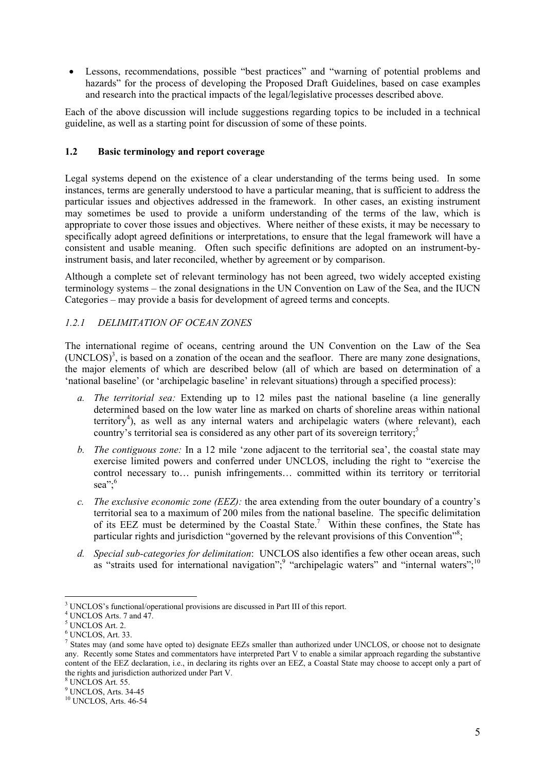• Lessons, recommendations, possible "best practices" and "warning of potential problems and hazards" for the process of developing the Proposed Draft Guidelines, based on case examples and research into the practical impacts of the legal/legislative processes described above.

Each of the above discussion will include suggestions regarding topics to be included in a technical guideline, as well as a starting point for discussion of some of these points.

### **1.2 Basic terminology and report coverage**

Legal systems depend on the existence of a clear understanding of the terms being used. In some instances, terms are generally understood to have a particular meaning, that is sufficient to address the particular issues and objectives addressed in the framework. In other cases, an existing instrument may sometimes be used to provide a uniform understanding of the terms of the law, which is appropriate to cover those issues and objectives. Where neither of these exists, it may be necessary to specifically adopt agreed definitions or interpretations, to ensure that the legal framework will have a consistent and usable meaning. Often such specific definitions are adopted on an instrument-byinstrument basis, and later reconciled, whether by agreement or by comparison.

Although a complete set of relevant terminology has not been agreed, two widely accepted existing terminology systems – the zonal designations in the UN Convention on Law of the Sea, and the IUCN Categories – may provide a basis for development of agreed terms and concepts.

# *1.2.1 DELIMITATION OF OCEAN ZONES*

The international regime of oceans, centring around the UN Convention on the Law of the Sea  $(UNCLOS)<sup>3</sup>$ , is based on a zonation of the ocean and the seafloor. There are many zone designations, the major elements of which are described below (all of which are based on determination of a 'national baseline' (or 'archipelagic baseline' in relevant situations) through a specified process):

- *a. The territorial sea:* Extending up to 12 miles past the national baseline (a line generally determined based on the low water line as marked on charts of shoreline areas within national territory<sup>4</sup>), as well as any internal waters and archipelagic waters (where relevant), each country's territorial sea is considered as any other part of its sovereign territory;<sup>5</sup>
- *b. The contiguous zone:* In a 12 mile 'zone adjacent to the territorial sea', the coastal state may exercise limited powers and conferred under UNCLOS, including the right to "exercise the control necessary to… punish infringements… committed within its territory or territorial sea"; $6$
- *c. The exclusive economic zone (EEZ):* the area extending from the outer boundary of a country's territorial sea to a maximum of 200 miles from the national baseline. The specific delimitation of its EEZ must be determined by the Coastal State.<sup>7</sup> Within these confines, the State has particular rights and jurisdiction "governed by the relevant provisions of this Convention"<sup>8</sup>;
- *d. Special sub-categories for delimitation*: UNCLOS also identifies a few other ocean areas, such as "straits used for international navigation"; "archipelagic waters" and "internal waters";  $\frac{10}{10}$

<sup>&</sup>lt;sup>3</sup> UNCLOS's functional/operational provisions are discussed in Part III of this report.

UNCLOS Arts. 7 and 47.

 $<sup>5</sup>$  UNCLOS Art. 2.</sup>

 $6$  UNCLOS, Art. 33.

<sup>&</sup>lt;sup>7</sup> States may (and some have opted to) designate EEZs smaller than authorized under UNCLOS, or choose not to designate any. Recently some States and commentators have interpreted Part V to enable a similar approach regarding the substantive content of the EEZ declaration, i.e., in declaring its rights over an EEZ, a Coastal State may choose to accept only a part of the rights and jurisdiction authorized under Part V.

<sup>8</sup> UNCLOS Art. 55.

 $<sup>9</sup>$  UNCLOS, Arts. 34-45</sup>

<sup>10</sup> UNCLOS, Arts. 46-54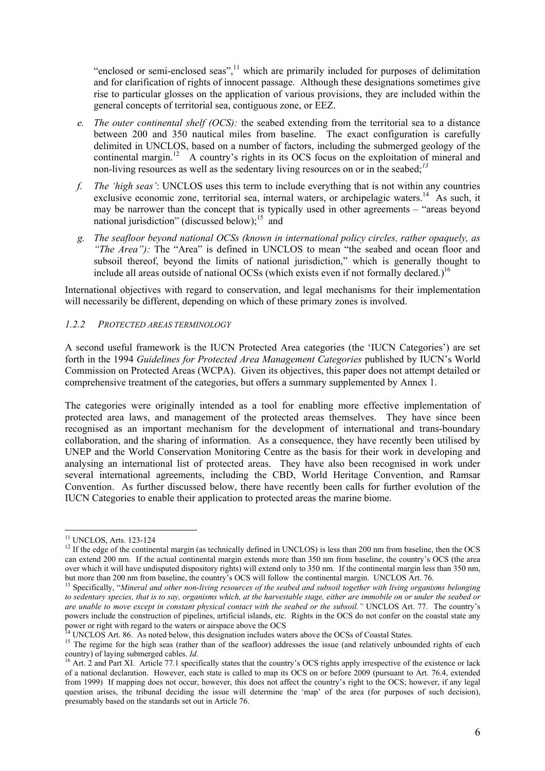"enclosed or semi-enclosed seas", $<sup>11</sup>$  which are primarily included for purposes of delimitation</sup> and for clarification of rights of innocent passage. Although these designations sometimes give rise to particular glosses on the application of various provisions, they are included within the general concepts of territorial sea, contiguous zone, or EEZ.

- *e. The outer continental shelf (OCS):* the seabed extending from the territorial sea to a distance between 200 and 350 nautical miles from baseline. The exact configuration is carefully delimited in UNCLOS, based on a number of factors, including the submerged geology of the continental margin.<sup>12</sup> A country's rights in its OCS focus on the exploitation of mineral and non-living resources as well as the sedentary living resources on or in the seabed;*13*
- *f. The 'high seas'*: UNCLOS uses this term to include everything that is not within any countries exclusive economic zone, territorial sea, internal waters, or archipelagic waters.<sup>14</sup> As such, it may be narrower than the concept that is typically used in other agreements – "areas beyond national jurisdiction" (discussed below);<sup>15</sup> and
- *g. The seafloor beyond national OCSs (known in international policy circles, rather opaquely, as "The Area"*): The "Area" is defined in UNCLOS to mean "the seabed and ocean floor and subsoil thereof, beyond the limits of national jurisdiction," which is generally thought to include all areas outside of national OCSs (which exists even if not formally declared.)<sup>16</sup>

International objectives with regard to conservation, and legal mechanisms for their implementation will necessarily be different, depending on which of these primary zones is involved.

### *1.2.2 PROTECTED AREAS TERMINOLOGY*

A second useful framework is the IUCN Protected Area categories (the 'IUCN Categories') are set forth in the 1994 *Guidelines for Protected Area Management Categories* published by IUCN's World Commission on Protected Areas (WCPA). Given its objectives, this paper does not attempt detailed or comprehensive treatment of the categories, but offers a summary supplemented by Annex 1.

The categories were originally intended as a tool for enabling more effective implementation of protected area laws, and management of the protected areas themselves. They have since been recognised as an important mechanism for the development of international and trans-boundary collaboration, and the sharing of information. As a consequence, they have recently been utilised by UNEP and the World Conservation Monitoring Centre as the basis for their work in developing and analysing an international list of protected areas. They have also been recognised in work under several international agreements, including the CBD, World Heritage Convention, and Ramsar Convention. As further discussed below, there have recently been calls for further evolution of the IUCN Categories to enable their application to protected areas the marine biome.

<sup>11</sup> UNCLOS, Arts. 123-124

<sup>&</sup>lt;sup>12</sup> If the edge of the continental margin (as technically defined in UNCLOS) is less than 200 nm from baseline, then the OCS can extend 200 nm. If the actual continental margin extends more than 350 nm from baseline, the country's OCS (the area over which it will have undisputed dispository rights) will extend only to 350 nm. If the continental margin less than 350 nm, but more than 200 nm from baseline, the country's OCS will follow the continental margin. UNCLOS Art. 76.

<sup>13</sup> Specifically, "*Mineral and other non-living resources of the seabed and subsoil together with living organisms belonging to sedentary species, that is to say, organisms which, at the harvestable stage, either are immobile on or under the seabed or are unable to move except in constant physical contact with the seabed or the subsoil."* UNCLOS Art. 77. The country's powers include the construction of pipelines, artificial islands, etc. Rights in the OCS do not confer on the coastal state any power or right with regard to the waters or airspace above the OCS<br><sup>14</sup> UNCLOS Art. 86. As noted below, this designation includes waters above the OCSs of Coastal States.

<sup>&</sup>lt;sup>15</sup> The regime for the high seas (rather than of the seafloor) addresses the issue (and relatively unbounded rights of each  $\frac{15}{15}$ country) of laying submerged cables. *Id*.<br><sup>16</sup> Art. 2 and Part XI. Article 77.1 specifically states that the country's OCS rights apply irrespective of the existence or lack

of a national declaration. However, each state is called to map its OCS on or before 2009 (pursuant to Art. 76.4, extended from 1999) If mapping does not occur, however, this does not affect the country's right to the OCS; however, if any legal question arises, the tribunal deciding the issue will determine the 'map' of the area (for purposes of such decision), presumably based on the standards set out in Article 76.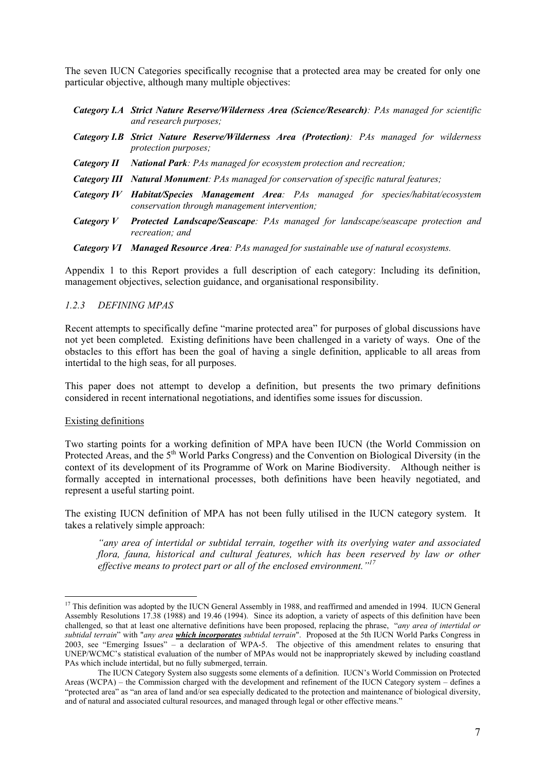The seven IUCN Categories specifically recognise that a protected area may be created for only one particular objective, although many multiple objectives:

|            | Category I.A Strict Nature Reserve/Wilderness Area (Science/Research): PAs managed for scientific<br>and research purposes;                    |
|------------|------------------------------------------------------------------------------------------------------------------------------------------------|
|            | <b>Category I.B Strict Nature Reserve/Wilderness Area (Protection)</b> : PAs managed for wilderness<br><i>protection purposes;</i>             |
|            | Category II National Park: PAs managed for ecosystem protection and recreation;                                                                |
|            | Category III Natural Monument: PAs managed for conservation of specific natural features;                                                      |
|            | <b>Category IV Habitat/Species Management Area:</b> PAs managed for species/habitat/ecosystem<br>conservation through management intervention; |
| Category V | <b>Protected Landscape/Seascape:</b> PAs managed for landscape/seascape protection and<br>recreation: and                                      |
|            | <b>Category VI Managed Resource Area:</b> PAs managed for sustainable use of natural ecosystems.                                               |

Appendix 1 to this Report provides a full description of each category: Including its definition, management objectives, selection guidance, and organisational responsibility.

### *1.2.3 DEFINING MPAS*

Recent attempts to specifically define "marine protected area" for purposes of global discussions have not yet been completed. Existing definitions have been challenged in a variety of ways. One of the obstacles to this effort has been the goal of having a single definition, applicable to all areas from intertidal to the high seas, for all purposes.

This paper does not attempt to develop a definition, but presents the two primary definitions considered in recent international negotiations, and identifies some issues for discussion.

### Existing definitions

 $\overline{a}$ 

Two starting points for a working definition of MPA have been IUCN (the World Commission on Protected Areas, and the 5<sup>th</sup> World Parks Congress) and the Convention on Biological Diversity (in the context of its development of its Programme of Work on Marine Biodiversity. Although neither is formally accepted in international processes, both definitions have been heavily negotiated, and represent a useful starting point.

The existing IUCN definition of MPA has not been fully utilised in the IUCN category system. It takes a relatively simple approach:

*"any area of intertidal or subtidal terrain, together with its overlying water and associated flora, fauna, historical and cultural features, which has been reserved by law or other effective means to protect part or all of the enclosed environment."17* 

<sup>&</sup>lt;sup>17</sup> This definition was adopted by the IUCN General Assembly in 1988, and reaffirmed and amended in 1994. IUCN General Assembly Resolutions 17.38 (1988) and 19.46 (1994). Since its adoption, a variety of aspects of this definition have been challenged, so that at least one alternative definitions have been proposed, replacing the phrase, "*any area of intertidal or subtidal terrain*" with "*any area which incorporates subtidal terrain*". Proposed at the 5th IUCN World Parks Congress in 2003, see "Emerging Issues" – a declaration of WPA-5. The objective of this amendment relates to ensuring that UNEP/WCMC's statistical evaluation of the number of MPAs would not be inappropriately skewed by including coastland PAs which include intertidal, but no fully submerged, terrain.

The IUCN Category System also suggests some elements of a definition. IUCN's World Commission on Protected Areas (WCPA) – the Commission charged with the development and refinement of the IUCN Category system – defines a "protected area" as "an area of land and/or sea especially dedicated to the protection and maintenance of biological diversity, and of natural and associated cultural resources, and managed through legal or other effective means."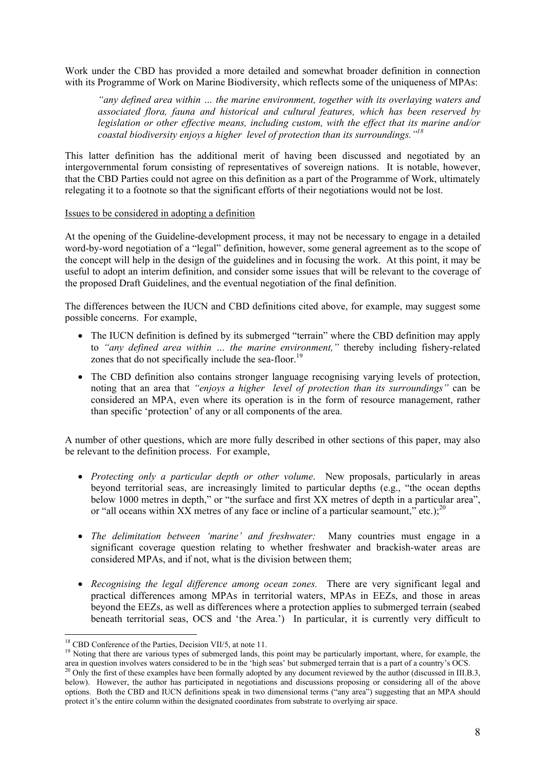Work under the CBD has provided a more detailed and somewhat broader definition in connection with its Programme of Work on Marine Biodiversity, which reflects some of the uniqueness of MPAs:

*"any defined area within … the marine environment, together with its overlaying waters and associated flora, fauna and historical and cultural features, which has been reserved by legislation or other effective means, including custom, with the effect that its marine and/or coastal biodiversity enjoys a higher level of protection than its surroundings."18*

This latter definition has the additional merit of having been discussed and negotiated by an intergovernmental forum consisting of representatives of sovereign nations. It is notable, however, that the CBD Parties could not agree on this definition as a part of the Programme of Work, ultimately relegating it to a footnote so that the significant efforts of their negotiations would not be lost.

#### Issues to be considered in adopting a definition

At the opening of the Guideline-development process, it may not be necessary to engage in a detailed word-by-word negotiation of a "legal" definition, however, some general agreement as to the scope of the concept will help in the design of the guidelines and in focusing the work. At this point, it may be useful to adopt an interim definition, and consider some issues that will be relevant to the coverage of the proposed Draft Guidelines, and the eventual negotiation of the final definition.

The differences between the IUCN and CBD definitions cited above, for example, may suggest some possible concerns. For example,

- The IUCN definition is defined by its submerged "terrain" where the CBD definition may apply to *"any defined area within … the marine environment,"* thereby including fishery-related zones that do not specifically include the sea-floor.<sup>19</sup>
- The CBD definition also contains stronger language recognising varying levels of protection, noting that an area that *"enjoys a higher level of protection than its surroundings"* can be considered an MPA, even where its operation is in the form of resource management, rather than specific 'protection' of any or all components of the area.

A number of other questions, which are more fully described in other sections of this paper, may also be relevant to the definition process. For example,

- *Protecting only a particular depth or other volume*. New proposals, particularly in areas beyond territorial seas, are increasingly limited to particular depths (e.g., "the ocean depths below 1000 metres in depth," or "the surface and first XX metres of depth in a particular area", or "all oceans within XX metres of any face or incline of a particular seamount." etc.):  $^{20}$
- *The delimitation between 'marine' and freshwater:* Many countries must engage in a significant coverage question relating to whether freshwater and brackish-water areas are considered MPAs, and if not, what is the division between them;
- *Recognising the legal difference among ocean zones.* There are very significant legal and practical differences among MPAs in territorial waters, MPAs in EEZs, and those in areas beyond the EEZs, as well as differences where a protection applies to submerged terrain (seabed beneath territorial seas, OCS and 'the Area.') In particular, it is currently very difficult to

<sup>&</sup>lt;sup>18</sup> CBD Conference of the Parties, Decision VII/5, at note 11.<br><sup>19</sup> Noting that there are various types of submerged lands, this point may be particularly important, where, for example, the area in question involves waters considered to be in the 'high seas' but submerged terrain that is a part of a country's OCS.<br><sup>20</sup> Only the first of these examples have been formally adopted by any document reviewed by the

below). However, the author has participated in negotiations and discussions proposing or considering all of the above options. Both the CBD and IUCN definitions speak in two dimensional terms ("any area") suggesting that an MPA should protect it's the entire column within the designated coordinates from substrate to overlying air space.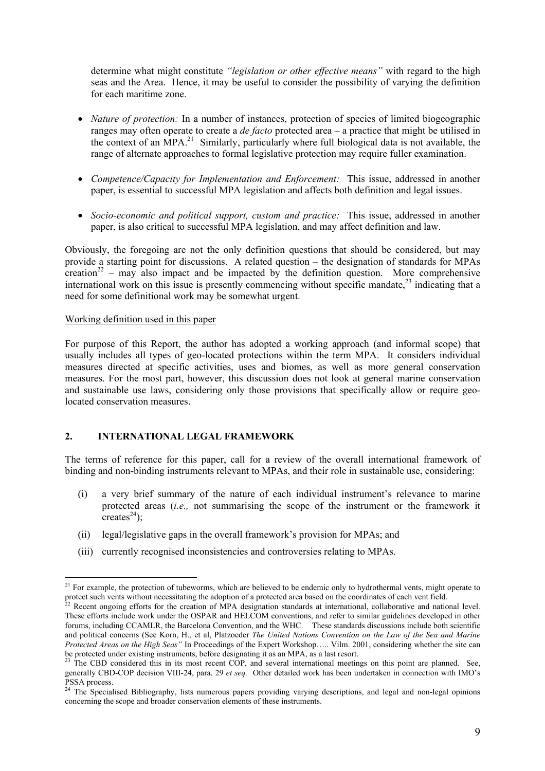determine what might constitute *"legislation or other effective means"* with regard to the high seas and the Area. Hence, it may be useful to consider the possibility of varying the definition for each maritime zone.

- *Nature of protection:* In a number of instances, protection of species of limited biogeographic ranges may often operate to create a *de facto* protected area – a practice that might be utilised in the context of an MPA.<sup>21</sup> Similarly, particularly where full biological data is not available, the range of alternate approaches to formal legislative protection may require fuller examination.
- *Competence/Capacity for Implementation and Enforcement:* This issue, addressed in another paper, is essential to successful MPA legislation and affects both definition and legal issues.
- *Socio-economic and political support, custom and practice:* This issue, addressed in another paper, is also critical to successful MPA legislation, and may affect definition and law.

Obviously, the foregoing are not the only definition questions that should be considered, but may provide a starting point for discussions. A related question – the designation of standards for MPAs creation<sup>22</sup> – may also impact and be impacted by the definition question. More comprehensive international work on this issue is presently commencing without specific mandate,  $^{23}$  indicating that a need for some definitional work may be somewhat urgent.

### Working definition used in this paper

 $\overline{a}$ 

For purpose of this Report, the author has adopted a working approach (and informal scope) that usually includes all types of geo-located protections within the term MPA. It considers individual measures directed at specific activities, uses and biomes, as well as more general conservation measures. For the most part, however, this discussion does not look at general marine conservation and sustainable use laws, considering only those provisions that specifically allow or require geolocated conservation measures.

# **2. INTERNATIONAL LEGAL FRAMEWORK**

The terms of reference for this paper, call for a review of the overall international framework of binding and non-binding instruments relevant to MPAs, and their role in sustainable use, considering:

- (i) a very brief summary of the nature of each individual instrument's relevance to marine protected areas (*i.e.,* not summarising the scope of the instrument or the framework it creates<sup>24</sup>).
- (ii) legal/legislative gaps in the overall framework's provision for MPAs; and
- (iii) currently recognised inconsistencies and controversies relating to MPAs.

<sup>&</sup>lt;sup>21</sup> For example, the protection of tubeworms, which are believed to be endemic only to hydrothermal vents, might operate to protect such vents without necessitating the adoption of a protected area based on the coordinates of each vent field.<br><sup>22</sup> Recent ongoing efforts for the creation of MPA designation standards at international, collaborati

These efforts include work under the OSPAR and HELCOM conventions, and refer to similar guidelines developed in other forums, including CCAMLR, the Barcelona Convention, and the WHC. These standards discussions include both scientific and political concerns (See Korn, H., et al, Platzoeder *The United Nations Convention on the Law of the Sea and Marine Protected Areas on the High Seas"* In Proceedings of the Expert Workshop….. Vilm. 2001, considering whether the site can be protected under existing instruments, before designating it as an MPA, as a last resort.<br><sup>23</sup> The CBD considered this in its most recent COP, and several international meetings on this point are planned. See,

generally CBD-COP decision VIII-24, para. 29 *et seq.* Other detailed work has been undertaken in connection with IMO's PSSA process.

<sup>&</sup>lt;sup>24</sup> The Specialised Bibliography, lists numerous papers providing varying descriptions, and legal and non-legal opinions concerning the scope and broader conservation elements of these instruments.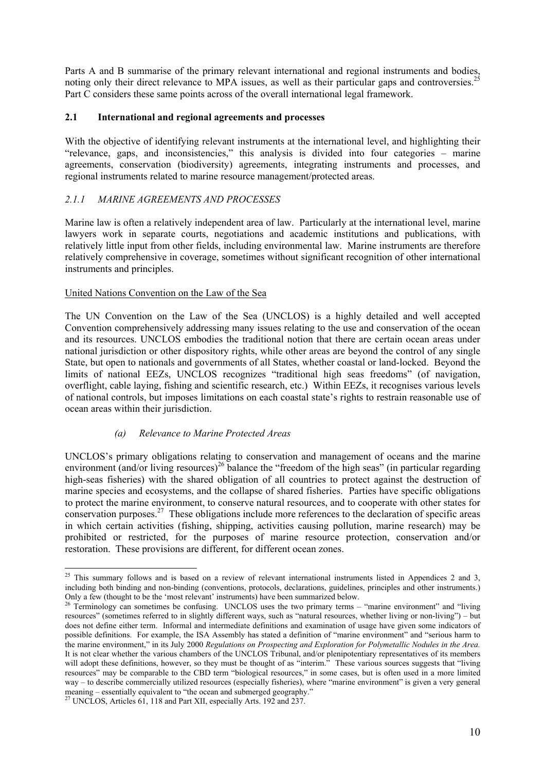Parts A and B summarise of the primary relevant international and regional instruments and bodies, noting only their direct relevance to MPA issues, as well as their particular gaps and controversies.<sup>2</sup> Part C considers these same points across of the overall international legal framework.

### **2.1 International and regional agreements and processes**

With the objective of identifying relevant instruments at the international level, and highlighting their "relevance, gaps, and inconsistencies," this analysis is divided into four categories – marine agreements, conservation (biodiversity) agreements, integrating instruments and processes, and regional instruments related to marine resource management/protected areas.

# *2.1.1 MARINE AGREEMENTS AND PROCESSES*

Marine law is often a relatively independent area of law. Particularly at the international level, marine lawyers work in separate courts, negotiations and academic institutions and publications, with relatively little input from other fields, including environmental law. Marine instruments are therefore relatively comprehensive in coverage, sometimes without significant recognition of other international instruments and principles.

### United Nations Convention on the Law of the Sea

The UN Convention on the Law of the Sea (UNCLOS) is a highly detailed and well accepted Convention comprehensively addressing many issues relating to the use and conservation of the ocean and its resources. UNCLOS embodies the traditional notion that there are certain ocean areas under national jurisdiction or other dispository rights, while other areas are beyond the control of any single State, but open to nationals and governments of all States, whether coastal or land-locked. Beyond the limits of national EEZs, UNCLOS recognizes "traditional high seas freedoms" (of navigation, overflight, cable laying, fishing and scientific research, etc.) Within EEZs, it recognises various levels of national controls, but imposes limitations on each coastal state's rights to restrain reasonable use of ocean areas within their jurisdiction.

# *(a) Relevance to Marine Protected Areas*

UNCLOS's primary obligations relating to conservation and management of oceans and the marine environment (and/or living resources)<sup>26</sup> balance the "freedom of the high seas" (in particular regarding high-seas fisheries) with the shared obligation of all countries to protect against the destruction of marine species and ecosystems, and the collapse of shared fisheries. Parties have specific obligations to protect the marine environment, to conserve natural resources, and to cooperate with other states for conservation purposes.27 These obligations include more references to the declaration of specific areas in which certain activities (fishing, shipping, activities causing pollution, marine research) may be prohibited or restricted, for the purposes of marine resource protection, conservation and/or restoration. These provisions are different, for different ocean zones.

 $25$  This summary follows and is based on a review of relevant international instruments listed in Appendices 2 and 3, including both binding and non-binding (conventions, protocols, declarations, guidelines, principles and other instruments.) Only a few (thought to be the 'most relevant' instruments) have been summarized below.<br><sup>26</sup> Terminology can sometimes be confusing. UNCLOS uses the two primary terms – "marine environment" and "living

resources" (sometimes referred to in slightly different ways, such as "natural resources, whether living or non-living") – but does not define either term. Informal and intermediate definitions and examination of usage have given some indicators of possible definitions. For example, the ISA Assembly has stated a definition of "marine environment" and "serious harm to the marine environment," in its July 2000 *Regulations on Prospecting and Exploration for Polymetallic Nodules in the Area.*  It is not clear whether the various chambers of the UNCLOS Tribunal, and/or plenipotentiary representatives of its members will adopt these definitions, however, so they must be thought of as "interim." These various sources suggests that "living resources" may be comparable to the CBD term "biological resources," in some cases, but is often used in a more limited way – to describe commercially utilized resources (especially fisheries), where "marine environment" is given a very general meaning – essentially equivalent to "the ocean and submerged geography." 27 UNCLOS, Articles 61, 118 and Part XII, especially Arts. 192 and 237.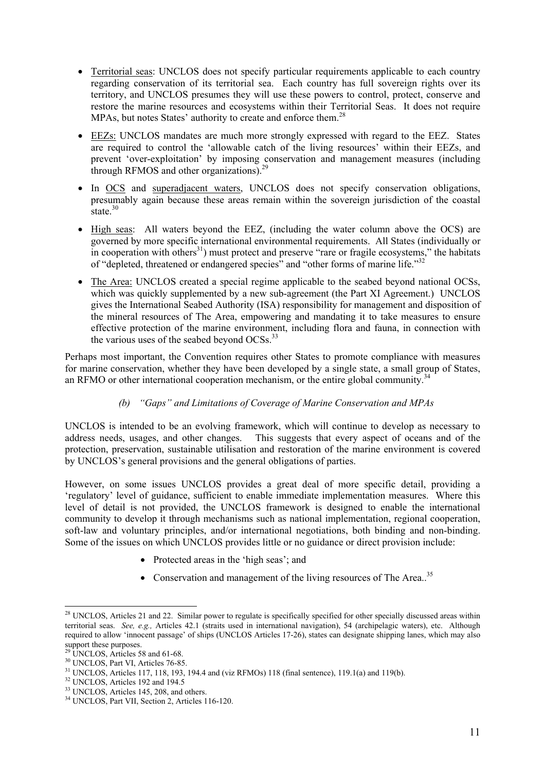- Territorial seas: UNCLOS does not specify particular requirements applicable to each country regarding conservation of its territorial sea. Each country has full sovereign rights over its territory, and UNCLOS presumes they will use these powers to control, protect, conserve and restore the marine resources and ecosystems within their Territorial Seas. It does not require MPAs, but notes States' authority to create and enforce them.<sup>28</sup>
- EEZs: UNCLOS mandates are much more strongly expressed with regard to the EEZ. States are required to control the 'allowable catch of the living resources' within their EEZs, and prevent 'over-exploitation' by imposing conservation and management measures (including through RFMOS and other organizations).<sup>29</sup>
- In OCS and superadjacent waters, UNCLOS does not specify conservation obligations, presumably again because these areas remain within the sovereign jurisdiction of the coastal state.<sup>30</sup>
- High seas: All waters beyond the EEZ, (including the water column above the OCS) are governed by more specific international environmental requirements. All States (individually or in cooperation with others $31$ ) must protect and preserve "rare or fragile ecosystems," the habitats of "depleted, threatened or endangered species" and "other forms of marine life."<sup>32</sup>
- The Area: UNCLOS created a special regime applicable to the seabed beyond national OCSs, which was quickly supplemented by a new sub-agreement (the Part XI Agreement.) UNCLOS gives the International Seabed Authority (ISA) responsibility for management and disposition of the mineral resources of The Area, empowering and mandating it to take measures to ensure effective protection of the marine environment, including flora and fauna, in connection with the various uses of the seabed beyond OCSs.<sup>33</sup>

Perhaps most important, the Convention requires other States to promote compliance with measures for marine conservation, whether they have been developed by a single state, a small group of States, an RFMO or other international cooperation mechanism, or the entire global community.<sup>34</sup>

# *(b) "Gaps" and Limitations of Coverage of Marine Conservation and MPAs*

UNCLOS is intended to be an evolving framework, which will continue to develop as necessary to address needs, usages, and other changes. This suggests that every aspect of oceans and of the protection, preservation, sustainable utilisation and restoration of the marine environment is covered by UNCLOS's general provisions and the general obligations of parties.

However, on some issues UNCLOS provides a great deal of more specific detail, providing a 'regulatory' level of guidance, sufficient to enable immediate implementation measures. Where this level of detail is not provided, the UNCLOS framework is designed to enable the international community to develop it through mechanisms such as national implementation, regional cooperation, soft-law and voluntary principles, and/or international negotiations, both binding and non-binding. Some of the issues on which UNCLOS provides little or no guidance or direct provision include:

- Protected areas in the 'high seas': and
- Conservation and management of the living resources of The Area..<sup>35</sup>

 $\overline{a}$  $^{28}$  UNCLOS, Articles 21 and 22. Similar power to regulate is specifically specified for other specially discussed areas within territorial seas. *See, e.g.,* Articles 42.1 (straits used in international navigation), 54 (archipelagic waters), etc. Although required to allow 'innocent passage' of ships (UNCLOS Articles 17-26), states can designate shipping lanes, which may also support these purposes.

 $29$  UNCLOS, Articles 58 and 61-68.

<sup>&</sup>lt;sup>30</sup> UNCLOS, Part VI, Articles 76-85.

<sup>&</sup>lt;sup>31</sup> UNCLOS, Articles 117, 118, 193, 194.4 and (viz RFMOs) 118 (final sentence), 119.1(a) and 119(b). <sup>32</sup> UNCLOS, Articles 192 and 194.5

<sup>&</sup>lt;sup>33</sup> UNCLOS, Articles 145, 208, and others.

<sup>34</sup> UNCLOS, Part VII, Section 2, Articles 116-120.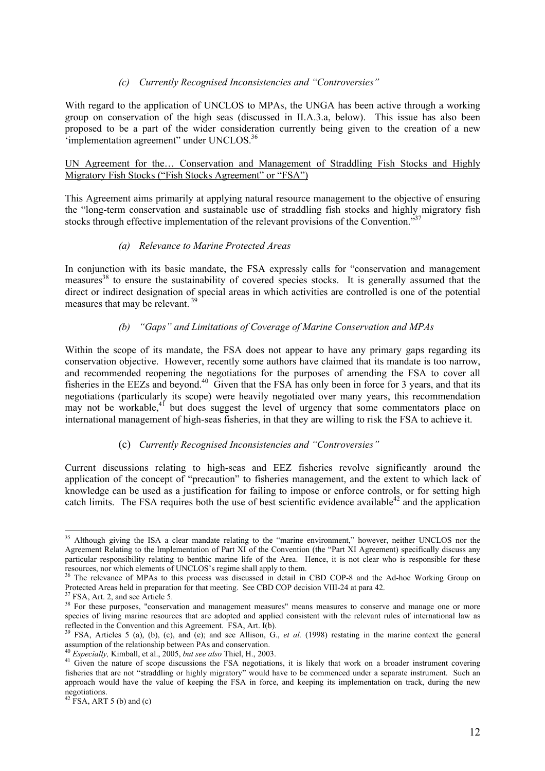### *(c) Currently Recognised Inconsistencies and "Controversies"*

With regard to the application of UNCLOS to MPAs, the UNGA has been active through a working group on conservation of the high seas (discussed in II.A.3.a, below). This issue has also been proposed to be a part of the wider consideration currently being given to the creation of a new 'implementation agreement'' under  $UNCLOS.<sup>36</sup>$ 

UN Agreement for the… Conservation and Management of Straddling Fish Stocks and Highly Migratory Fish Stocks ("Fish Stocks Agreement" or "FSA")

This Agreement aims primarily at applying natural resource management to the objective of ensuring the "long-term conservation and sustainable use of straddling fish stocks and highly migratory fish stocks through effective implementation of the relevant provisions of the Convention.<sup>337</sup>

### *(a) Relevance to Marine Protected Areas*

In conjunction with its basic mandate, the FSA expressly calls for "conservation and management measures<sup>38</sup> to ensure the sustainability of covered species stocks. It is generally assumed that the direct or indirect designation of special areas in which activities are controlled is one of the potential measures that may be relevant. 39

### *(b) "Gaps" and Limitations of Coverage of Marine Conservation and MPAs*

Within the scope of its mandate, the FSA does not appear to have any primary gaps regarding its conservation objective. However, recently some authors have claimed that its mandate is too narrow, and recommended reopening the negotiations for the purposes of amending the FSA to cover all fisheries in the EEZs and beyond.<sup>40</sup> Given that the FSA has only been in force for 3 years, and that its negotiations (particularly its scope) were heavily negotiated over many years, this recommendation may not be workable, $4^{1}$  but does suggest the level of urgency that some commentators place on international management of high-seas fisheries, in that they are willing to risk the FSA to achieve it.

# (c) *Currently Recognised Inconsistencies and "Controversies"*

Current discussions relating to high-seas and EEZ fisheries revolve significantly around the application of the concept of "precaution" to fisheries management, and the extent to which lack of knowledge can be used as a justification for failing to impose or enforce controls, or for setting high catch limits. The FSA requires both the use of best scientific evidence available<sup>42</sup> and the application

<sup>&</sup>lt;sup>35</sup> Although giving the ISA a clear mandate relating to the "marine environment," however, neither UNCLOS nor the Agreement Relating to the Implementation of Part XI of the Convention (the "Part XI Agreement) specifically discuss any particular responsibility relating to benthic marine life of the Area. Hence, it is not clear who is responsible for these resources, nor which elements of UNCLOS's regime shall apply to them. 36 The relevance of MPAs to this process was discussed in detail in CBD COP-8 and the Ad-hoc Working Group on

Protected Areas held in preparation for that meeting. See CBD COP decision VIII-24 at para 42. <sup>37</sup> FSA, Art. 2, and see Article 5.

<sup>&</sup>lt;sup>38</sup> For these purposes, "conservation and management measures" means measures to conserve and manage one or more species of living marine resources that are adopted and applied consistent with the relevant rules of international law as reflected in the Convention and this Agreement. FSA, Art. I(b).

<sup>39</sup> FSA, Articles 5 (a), (b), (c), and (e); and see Allison, G., *et al.* (1998) restating in the marine context the general

assumption of the relationship between PAs and conservation.<br><sup>40</sup> *Especially*, Kimball, et al., 2005, *but see also* Thiel, H., 2003.<br><sup>41</sup> Given the nature of scope discussions the FSA negotiations, it is likely that work fisheries that are not "straddling or highly migratory" would have to be commenced under a separate instrument. Such an approach would have the value of keeping the FSA in force, and keeping its implementation on track, during the new negotiations.

 $42$  FSA, ART 5 (b) and (c)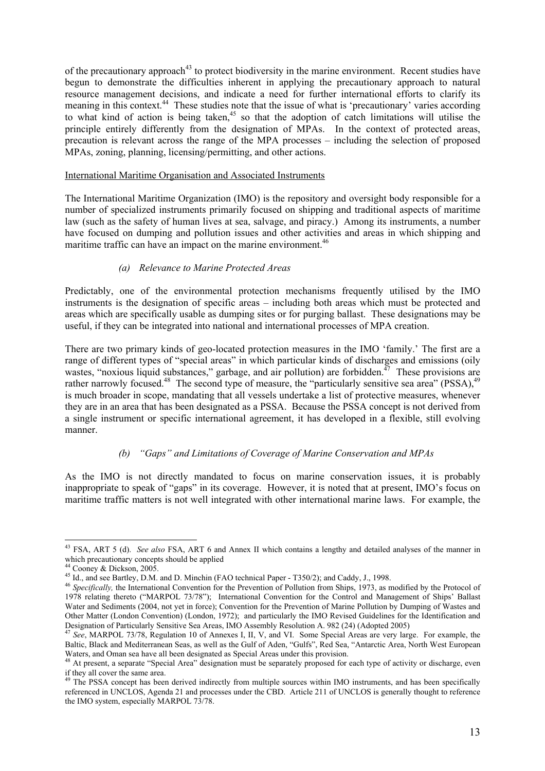of the precautionary approach<sup>43</sup> to protect biodiversity in the marine environment. Recent studies have begun to demonstrate the difficulties inherent in applying the precautionary approach to natural resource management decisions, and indicate a need for further international efforts to clarify its meaning in this context.<sup>44</sup> These studies note that the issue of what is 'precautionary' varies according to what kind of action is being taken,<sup>45</sup> so that the adoption of catch limitations will utilise the principle entirely differently from the designation of MPAs. In the context of protected areas, precaution is relevant across the range of the MPA processes – including the selection of proposed MPAs, zoning, planning, licensing/permitting, and other actions.

#### International Maritime Organisation and Associated Instruments

The International Maritime Organization (IMO) is the repository and oversight body responsible for a number of specialized instruments primarily focused on shipping and traditional aspects of maritime law (such as the safety of human lives at sea, salvage, and piracy.) Among its instruments, a number have focused on dumping and pollution issues and other activities and areas in which shipping and maritime traffic can have an impact on the marine environment.<sup>46</sup>

### *(a) Relevance to Marine Protected Areas*

Predictably, one of the environmental protection mechanisms frequently utilised by the IMO instruments is the designation of specific areas – including both areas which must be protected and areas which are specifically usable as dumping sites or for purging ballast. These designations may be useful, if they can be integrated into national and international processes of MPA creation.

There are two primary kinds of geo-located protection measures in the IMO 'family.' The first are a range of different types of "special areas" in which particular kinds of discharges and emissions (oily wastes, "noxious liquid substances," garbage, and air pollution) are forbidden.<sup>47</sup> These provisions are rather narrowly focused.<sup>48</sup> The second type of measure, the "particularly sensitive sea area" (PSSA),<sup>49</sup> is much broader in scope, mandating that all vessels undertake a list of protective measures, whenever they are in an area that has been designated as a PSSA. Because the PSSA concept is not derived from a single instrument or specific international agreement, it has developed in a flexible, still evolving manner.

### *(b) "Gaps" and Limitations of Coverage of Marine Conservation and MPAs*

As the IMO is not directly mandated to focus on marine conservation issues, it is probably inappropriate to speak of "gaps" in its coverage. However, it is noted that at present, IMO's focus on maritime traffic matters is not well integrated with other international marine laws. For example, the

<sup>43</sup> FSA, ART 5 (d). *See also* FSA, ART 6 and Annex II which contains a lengthy and detailed analyses of the manner in which precautionary concepts should be applied<br><sup>44</sup> Cooney & Dickson, 2005.<br><sup>45</sup> Id., and see Bartley, D.M. and D. Minchin (FAO technical Paper - T350/2); and Caddy, J., 1998.

<sup>&</sup>lt;sup>46</sup> Specifically, the International Convention for the Prevention of Pollution from Ships, 1973, as modified by the Protocol of 1978 relating thereto ("MARPOL 73/78"); International Convention for the Control and Management of Ships' Ballast Water and Sediments (2004, not yet in force); Convention for the Prevention of Marine Pollution by Dumping of Wastes and Other Matter (London Convention) (London, 1972); and particularly the IMO Revised Guidelines for the Identification and Designation of Particularly Sensitive Sea Areas, IMO Assembly Resolution A. 982 (24) (Adopted 2005)

Designation of Particularly Sensitive Sea Areas, IMO Assembly Resolution A. 982 (24) (Adopted 2005) 47 *See*, MARPOL 73/78, Regulation 10 of Annexes I, II, V, and VI. Some Special Areas are very large. For example, the Baltic, Black and Mediterranean Seas, as well as the Gulf of Aden, "Gulfs", Red Sea, "Antarctic Area, North West European

Waters, and Oman sea have all been designated as Special Areas under this provision.<br><sup>48</sup> At present, a separate "Special Area" designation must be separately proposed for each type of activity or discharge, even if they all cover the same area.

 $49$  The PSSA concept has been derived indirectly from multiple sources within IMO instruments, and has been specifically referenced in UNCLOS, Agenda 21 and processes under the CBD. Article 211 of UNCLOS is generally thought to reference the IMO system, especially MARPOL 73/78.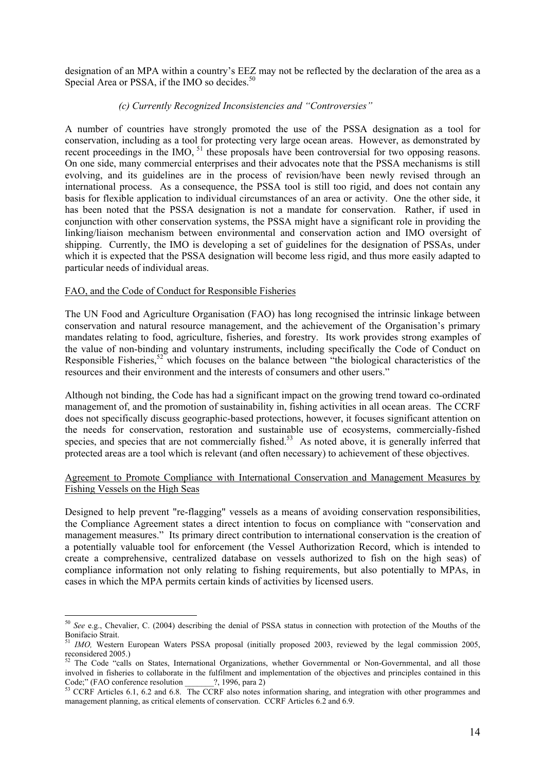designation of an MPA within a country's EEZ may not be reflected by the declaration of the area as a Special Area or PSSA, if the IMO so decides.<sup>50</sup>

### *(c) Currently Recognized Inconsistencies and "Controversies"*

A number of countries have strongly promoted the use of the PSSA designation as a tool for conservation, including as a tool for protecting very large ocean areas. However, as demonstrated by recent proceedings in the IMO, <sup>51</sup> these proposals have been controversial for two opposing reasons. On one side, many commercial enterprises and their advocates note that the PSSA mechanisms is still evolving, and its guidelines are in the process of revision/have been newly revised through an international process. As a consequence, the PSSA tool is still too rigid, and does not contain any basis for flexible application to individual circumstances of an area or activity. One the other side, it has been noted that the PSSA designation is not a mandate for conservation. Rather, if used in conjunction with other conservation systems, the PSSA might have a significant role in providing the linking/liaison mechanism between environmental and conservation action and IMO oversight of shipping. Currently, the IMO is developing a set of guidelines for the designation of PSSAs, under which it is expected that the PSSA designation will become less rigid, and thus more easily adapted to particular needs of individual areas.

### FAO, and the Code of Conduct for Responsible Fisheries

 $\overline{a}$ 

The UN Food and Agriculture Organisation (FAO) has long recognised the intrinsic linkage between conservation and natural resource management, and the achievement of the Organisation's primary mandates relating to food, agriculture, fisheries, and forestry. Its work provides strong examples of the value of non-binding and voluntary instruments, including specifically the Code of Conduct on Responsible Fisheries,<sup>52</sup> which focuses on the balance between "the biological characteristics of the resources and their environment and the interests of consumers and other users."

Although not binding, the Code has had a significant impact on the growing trend toward co-ordinated management of, and the promotion of sustainability in, fishing activities in all ocean areas. The CCRF does not specifically discuss geographic-based protections, however, it focuses significant attention on the needs for conservation, restoration and sustainable use of ecosystems, commercially-fished species, and species that are not commercially fished.<sup>53</sup> As noted above, it is generally inferred that protected areas are a tool which is relevant (and often necessary) to achievement of these objectives.

### Agreement to Promote Compliance with International Conservation and Management Measures by Fishing Vessels on the High Seas

Designed to help prevent "re-flagging" vessels as a means of avoiding conservation responsibilities, the Compliance Agreement states a direct intention to focus on compliance with "conservation and management measures." Its primary direct contribution to international conservation is the creation of a potentially valuable tool for enforcement (the Vessel Authorization Record, which is intended to create a comprehensive, centralized database on vessels authorized to fish on the high seas) of compliance information not only relating to fishing requirements, but also potentially to MPAs, in cases in which the MPA permits certain kinds of activities by licensed users.

<sup>50</sup> *See* e.g., Chevalier, C. (2004) describing the denial of PSSA status in connection with protection of the Mouths of the Bonifacio Strait.

*IMO,* Western European Waters PSSA proposal (initially proposed 2003, reviewed by the legal commission 2005, reconsidered 2005.)

<sup>&</sup>lt;sup>52</sup> The Code "calls on States, International Organizations, whether Governmental or Non-Governmental, and all those involved in fisheries to collaborate in the fulfilment and implementation of the objectives and principles contained in this Code;" (FAO conference resolution ?, 1996, para 2)

 $53$  CCRF Articles 6.1, 6.2 and 6.8. The CCRF also notes information sharing, and integration with other programmes and management planning, as critical elements of conservation. CCRF Articles 6.2 and 6.9.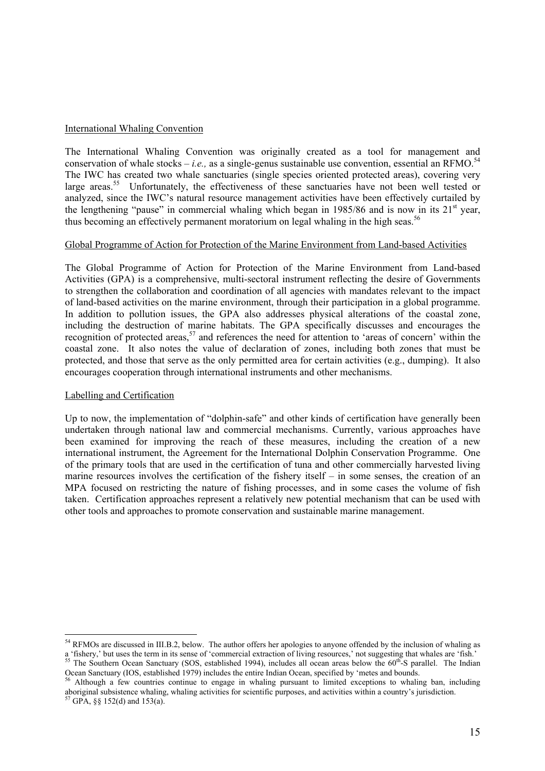#### International Whaling Convention

The International Whaling Convention was originally created as a tool for management and conservation of whale stocks – *i.e.*, as a single-genus sustainable use convention, essential an RFMO.<sup>54</sup> The IWC has created two whale sanctuaries (single species oriented protected areas), covering very large areas.<sup>55</sup> Unfortunately, the effectiveness of these sanctuaries have not been well tested or analyzed, since the IWC's natural resource management activities have been effectively curtailed by the lengthening "pause" in commercial whaling which began in 1985/86 and is now in its  $21<sup>st</sup>$  year, thus becoming an effectively permanent moratorium on legal whaling in the high seas.<sup>56</sup>

#### Global Programme of Action for Protection of the Marine Environment from Land-based Activities

The Global Programme of Action for Protection of the Marine Environment from Land-based Activities (GPA) is a comprehensive, multi-sectoral instrument reflecting the desire of Governments to strengthen the collaboration and coordination of all agencies with mandates relevant to the impact of land-based activities on the marine environment, through their participation in a global programme. In addition to pollution issues, the GPA also addresses physical alterations of the coastal zone, including the destruction of marine habitats. The GPA specifically discusses and encourages the recognition of protected areas,<sup>57</sup> and references the need for attention to 'areas of concern' within the coastal zone. It also notes the value of declaration of zones, including both zones that must be protected, and those that serve as the only permitted area for certain activities (e.g., dumping). It also encourages cooperation through international instruments and other mechanisms.

#### Labelling and Certification

 $\overline{a}$ 

Up to now, the implementation of "dolphin-safe" and other kinds of certification have generally been undertaken through national law and commercial mechanisms. Currently, various approaches have been examined for improving the reach of these measures, including the creation of a new international instrument, the Agreement for the International Dolphin Conservation Programme. One of the primary tools that are used in the certification of tuna and other commercially harvested living marine resources involves the certification of the fishery itself – in some senses, the creation of an MPA focused on restricting the nature of fishing processes, and in some cases the volume of fish taken. Certification approaches represent a relatively new potential mechanism that can be used with other tools and approaches to promote conservation and sustainable marine management.

 $<sup>54</sup>$  RFMOs are discussed in III.B.2, below. The author offers her apologies to anyone offended by the inclusion of whaling as</sup> a 'fishery,' but uses the term in its sense of 'commercial extraction of living resources,' not suggesting that whales are 'fish.'<br><sup>55</sup> The Southern Ocean Sanctuary (SOS, established 1994), includes all ocean areas below t

Ocean Sanctuary (IOS, established 1979) includes the entire Indian Ocean, specified by 'metes and bounds.<br><sup>56</sup> Although a few countries continue to engage in whaling pursuant to limited exceptions to whaling ban, including

aboriginal subsistence whaling, whaling activities for scientific purposes, and activities within a country's jurisdiction.<br><sup>57</sup> GPA, §§ 152(d) and 153(a).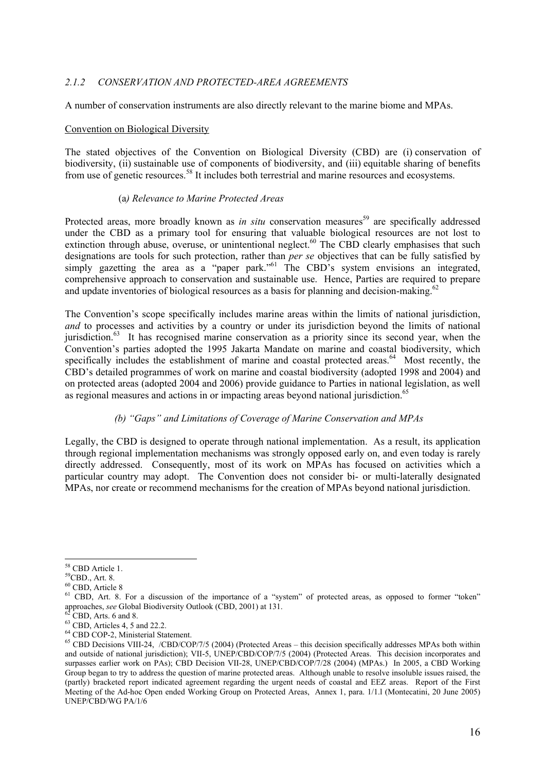### *2.1.2 CONSERVATION AND PROTECTED-AREA AGREEMENTS*

A number of conservation instruments are also directly relevant to the marine biome and MPAs.

#### Convention on Biological Diversity

The stated objectives of the Convention on Biological Diversity (CBD) are (i) conservation of biodiversity, (ii) sustainable use of components of biodiversity, and (iii) equitable sharing of benefits from use of genetic resources.<sup>58</sup> It includes both terrestrial and marine resources and ecosystems.

#### (a*) Relevance to Marine Protected Areas*

Protected areas, more broadly known as *in situ* conservation measures<sup>59</sup> are specifically addressed under the CBD as a primary tool for ensuring that valuable biological resources are not lost to extinction through abuse, overuse, or unintentional neglect.<sup>60</sup> The CBD clearly emphasises that such designations are tools for such protection, rather than *per se* objectives that can be fully satisfied by simply gazetting the area as a "paper park."<sup>61</sup> The CBD's system envisions an integrated, comprehensive approach to conservation and sustainable use. Hence, Parties are required to prepare and update inventories of biological resources as a basis for planning and decision-making.<sup>62</sup>

The Convention's scope specifically includes marine areas within the limits of national jurisdiction, *and* to processes and activities by a country or under its jurisdiction beyond the limits of national jurisdiction.<sup>63</sup> It has recognised marine conservation as a priority since its second year, when the Convention's parties adopted the 1995 Jakarta Mandate on marine and coastal biodiversity, which specifically includes the establishment of marine and coastal protected areas.<sup>64</sup> Most recently, the CBD's detailed programmes of work on marine and coastal biodiversity (adopted 1998 and 2004) and on protected areas (adopted 2004 and 2006) provide guidance to Parties in national legislation, as well as regional measures and actions in or impacting areas beyond national jurisdiction.<sup>65</sup>

### *(b) "Gaps" and Limitations of Coverage of Marine Conservation and MPAs*

Legally, the CBD is designed to operate through national implementation. As a result, its application through regional implementation mechanisms was strongly opposed early on, and even today is rarely directly addressed. Consequently, most of its work on MPAs has focused on activities which a particular country may adopt. The Convention does not consider bi- or multi-laterally designated MPAs, nor create or recommend mechanisms for the creation of MPAs beyond national jurisdiction.

<sup>58</sup> CBD Article 1.

<sup>59</sup>CBD., Art. 8.

<sup>60</sup> CBD, Article 8

<sup>&</sup>lt;sup>61</sup> CBD, Art. 8. For a discussion of the importance of a "system" of protected areas, as opposed to former "token" approaches, *see* Global Biodiversity Outlook (CBD, 2001) at 131. <sup>62</sup> CBD, Arts. 6 and 8.

 $63$  CBD, Articles 4, 5 and 22.2.

<sup>64</sup> CBD COP-2, Ministerial Statement.

<sup>&</sup>lt;sup>65</sup> CBD Decisions VIII-24, /CBD/COP/7/5 (2004) (Protected Areas – this decision specifically addresses MPAs both within and outside of national jurisdiction); VII-5, UNEP/CBD/COP/7/5 (2004) (Protected Areas. This decision incorporates and surpasses earlier work on PAs); CBD Decision VII-28, UNEP/CBD/COP/7/28 (2004) (MPAs.) In 2005, a CBD Working Group began to try to address the question of marine protected areas. Although unable to resolve insoluble issues raised, the (partly) bracketed report indicated agreement regarding the urgent needs of coastal and EEZ areas. Report of the First Meeting of the Ad-hoc Open ended Working Group on Protected Areas, Annex 1, para. 1/1.l (Montecatini, 20 June 2005) UNEP/CBD/WG PA/1/6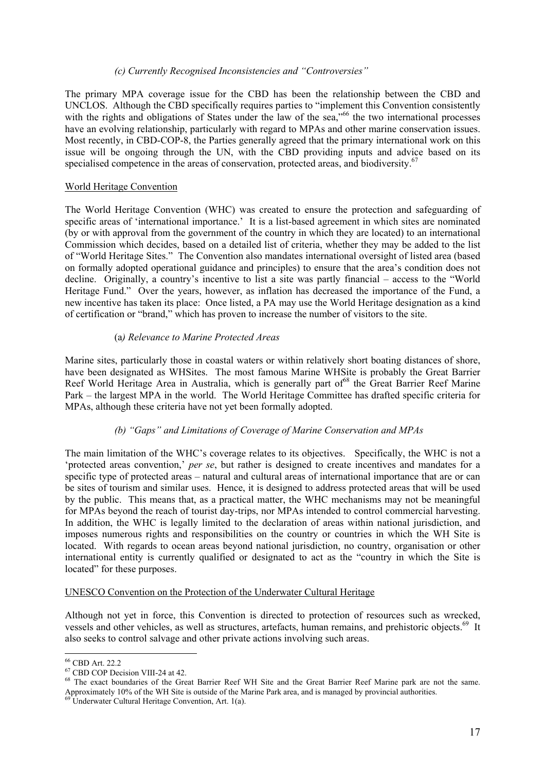### *(c) Currently Recognised Inconsistencies and "Controversies"*

The primary MPA coverage issue for the CBD has been the relationship between the CBD and UNCLOS. Although the CBD specifically requires parties to "implement this Convention consistently with the rights and obligations of States under the law of the sea,"<sup>66</sup> the two international processes have an evolving relationship, particularly with regard to MPAs and other marine conservation issues. Most recently, in CBD-COP-8, the Parties generally agreed that the primary international work on this issue will be ongoing through the UN, with the CBD providing inputs and advice based on its specialised competence in the areas of conservation, protected areas, and biodiversity.<sup>67</sup>

### World Heritage Convention

The World Heritage Convention (WHC) was created to ensure the protection and safeguarding of specific areas of 'international importance.' It is a list-based agreement in which sites are nominated (by or with approval from the government of the country in which they are located) to an international Commission which decides, based on a detailed list of criteria, whether they may be added to the list of "World Heritage Sites." The Convention also mandates international oversight of listed area (based on formally adopted operational guidance and principles) to ensure that the area's condition does not decline. Originally, a country's incentive to list a site was partly financial – access to the "World Heritage Fund." Over the years, however, as inflation has decreased the importance of the Fund, a new incentive has taken its place: Once listed, a PA may use the World Heritage designation as a kind of certification or "brand," which has proven to increase the number of visitors to the site.

### (a*) Relevance to Marine Protected Areas*

Marine sites, particularly those in coastal waters or within relatively short boating distances of shore, have been designated as WHSites. The most famous Marine WHSite is probably the Great Barrier Reef World Heritage Area in Australia, which is generally part of<sup>68</sup> the Great Barrier Reef Marine Park – the largest MPA in the world. The World Heritage Committee has drafted specific criteria for MPAs, although these criteria have not yet been formally adopted.

# *(b) "Gaps" and Limitations of Coverage of Marine Conservation and MPAs*

The main limitation of the WHC's coverage relates to its objectives. Specifically, the WHC is not a 'protected areas convention,' *per se*, but rather is designed to create incentives and mandates for a specific type of protected areas – natural and cultural areas of international importance that are or can be sites of tourism and similar uses. Hence, it is designed to address protected areas that will be used by the public. This means that, as a practical matter, the WHC mechanisms may not be meaningful for MPAs beyond the reach of tourist day-trips, nor MPAs intended to control commercial harvesting. In addition, the WHC is legally limited to the declaration of areas within national jurisdiction, and imposes numerous rights and responsibilities on the country or countries in which the WH Site is located. With regards to ocean areas beyond national jurisdiction, no country, organisation or other international entity is currently qualified or designated to act as the "country in which the Site is located" for these purposes.

### UNESCO Convention on the Protection of the Underwater Cultural Heritage

Although not yet in force, this Convention is directed to protection of resources such as wrecked, vessels and other vehicles, as well as structures, artefacts, human remains, and prehistoric objects.<sup>69</sup> It also seeks to control salvage and other private actions involving such areas.

<sup>66</sup> CBD Art. 22.2

<sup>67</sup> CBD COP Decision VIII-24 at 42.

<sup>&</sup>lt;sup>68</sup> The exact boundaries of the Great Barrier Reef WH Site and the Great Barrier Reef Marine park are not the same. Approximately 10% of the WH Site is outside of the Marine Park area, and is managed by provincial authorities.<br><sup>69</sup> Underwater Cultural Heritage Convention, Art. 1(a).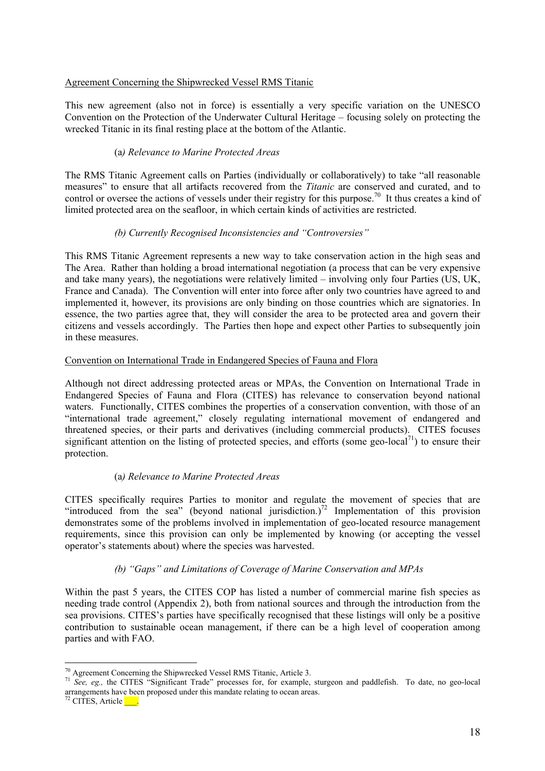### Agreement Concerning the Shipwrecked Vessel RMS Titanic

This new agreement (also not in force) is essentially a very specific variation on the UNESCO Convention on the Protection of the Underwater Cultural Heritage – focusing solely on protecting the wrecked Titanic in its final resting place at the bottom of the Atlantic.

# (a*) Relevance to Marine Protected Areas*

The RMS Titanic Agreement calls on Parties (individually or collaboratively) to take "all reasonable measures" to ensure that all artifacts recovered from the *Titanic* are conserved and curated, and to control or oversee the actions of vessels under their registry for this purpose.<sup>70</sup> It thus creates a kind of limited protected area on the seafloor, in which certain kinds of activities are restricted.

### *(b) Currently Recognised Inconsistencies and "Controversies"*

This RMS Titanic Agreement represents a new way to take conservation action in the high seas and The Area. Rather than holding a broad international negotiation (a process that can be very expensive and take many years), the negotiations were relatively limited – involving only four Parties (US, UK, France and Canada). The Convention will enter into force after only two countries have agreed to and implemented it, however, its provisions are only binding on those countries which are signatories. In essence, the two parties agree that, they will consider the area to be protected area and govern their citizens and vessels accordingly. The Parties then hope and expect other Parties to subsequently join in these measures.

### Convention on International Trade in Endangered Species of Fauna and Flora

Although not direct addressing protected areas or MPAs, the Convention on International Trade in Endangered Species of Fauna and Flora (CITES) has relevance to conservation beyond national waters. Functionally, CITES combines the properties of a conservation convention, with those of an "international trade agreement," closely regulating international movement of endangered and threatened species, or their parts and derivatives (including commercial products). CITES focuses significant attention on the listing of protected species, and efforts (some geo-local<sup>71</sup>) to ensure their protection.

# (a*) Relevance to Marine Protected Areas*

CITES specifically requires Parties to monitor and regulate the movement of species that are "introduced from the sea" (beyond national jurisdiction.)<sup>72</sup> Implementation of this provision demonstrates some of the problems involved in implementation of geo-located resource management requirements, since this provision can only be implemented by knowing (or accepting the vessel operator's statements about) where the species was harvested.

# *(b) "Gaps" and Limitations of Coverage of Marine Conservation and MPAs*

Within the past 5 years, the CITES COP has listed a number of commercial marine fish species as needing trade control (Appendix 2), both from national sources and through the introduction from the sea provisions. CITES's parties have specifically recognised that these listings will only be a positive contribution to sustainable ocean management, if there can be a high level of cooperation among parties and with FAO.

 $\overline{a}$  $70$  Agreement Concerning the Shipwrecked Vessel RMS Titanic, Article 3.

<sup>71</sup> *See, eg.,* the CITES "Significant Trade" processes for, for example, sturgeon and paddlefish. To date, no geo-local arrangements have been proposed under this mandate relating to ocean areas.

 $72$  CITES, Article  $\qquad$ .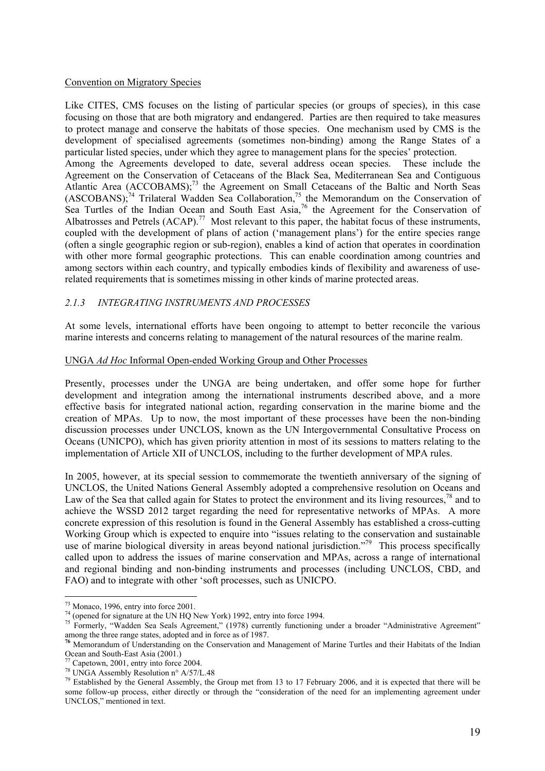#### Convention on Migratory Species

Like CITES, CMS focuses on the listing of particular species (or groups of species), in this case focusing on those that are both migratory and endangered. Parties are then required to take measures to protect manage and conserve the habitats of those species. One mechanism used by CMS is the development of specialised agreements (sometimes non-binding) among the Range States of a particular listed species, under which they agree to management plans for the species' protection.

Among the Agreements developed to date, several address ocean species. These include the Agreement on the Conservation of Cetaceans of the Black Sea, Mediterranean Sea and Contiguous Atlantic Area (ACCOBAMS);<sup>73</sup> the Agreement on Small Cetaceans of the Baltic and North Seas  $(ASCOBANS)$ ;<sup>74</sup> Trilateral Wadden Sea Collaboration,<sup>75</sup> the Memorandum on the Conservation of Sea Turtles of the Indian Ocean and South East Asia,<sup>76</sup> the Agreement for the Conservation of Albatrosses and Petrels (ACAP).<sup>77</sup> Most relevant to this paper, the habitat focus of these instruments, coupled with the development of plans of action ('management plans') for the entire species range (often a single geographic region or sub-region), enables a kind of action that operates in coordination with other more formal geographic protections. This can enable coordination among countries and among sectors within each country, and typically embodies kinds of flexibility and awareness of userelated requirements that is sometimes missing in other kinds of marine protected areas.

### *2.1.3 INTEGRATING INSTRUMENTS AND PROCESSES*

At some levels, international efforts have been ongoing to attempt to better reconcile the various marine interests and concerns relating to management of the natural resources of the marine realm.

#### UNGA *Ad Hoc* Informal Open-ended Working Group and Other Processes

Presently, processes under the UNGA are being undertaken, and offer some hope for further development and integration among the international instruments described above, and a more effective basis for integrated national action, regarding conservation in the marine biome and the creation of MPAs. Up to now, the most important of these processes have been the non-binding discussion processes under UNCLOS, known as the UN Intergovernmental Consultative Process on Oceans (UNICPO), which has given priority attention in most of its sessions to matters relating to the implementation of Article XII of UNCLOS, including to the further development of MPA rules.

In 2005, however, at its special session to commemorate the twentieth anniversary of the signing of UNCLOS, the United Nations General Assembly adopted a comprehensive resolution on Oceans and Law of the Sea that called again for States to protect the environment and its living resources,<sup>78</sup> and to achieve the WSSD 2012 target regarding the need for representative networks of MPAs. A more concrete expression of this resolution is found in the General Assembly has established a cross-cutting Working Group which is expected to enquire into "issues relating to the conservation and sustainable use of marine biological diversity in areas beyond national jurisdiction."<sup>79</sup> This process specifically called upon to address the issues of marine conservation and MPAs, across a range of international and regional binding and non-binding instruments and processes (including UNCLOS, CBD, and FAO) and to integrate with other 'soft processes, such as UNICPO.

 $73$  Monaco, 1996, entry into force 2001.

 $^{74}$  (opened for signature at the UN HQ New York) 1992, entry into force 1994.

<sup>&</sup>lt;sup>75</sup> Formerly, "Wadden Sea Seals Agreement," (1978) currently functioning under a broader "Administrative Agreement" among the three range states, adopted and in force as of 1987.<br><sup>76</sup> Memorandum of Understanding on the Conservation and Management of Marine Turtles and their Habitats of the Indian

Ocean and South-East Asia (2001.)

 $\frac{77}{77}$  Capetown, 2001, entry into force 2004.

<sup>78</sup> UNGA Assembly Resolution n° A/57/L.48

 $79$  Established by the General Assembly, the Group met from 13 to 17 February 2006, and it is expected that there will be some follow-up process, either directly or through the "consideration of the need for an implementing agreement under UNCLOS," mentioned in text.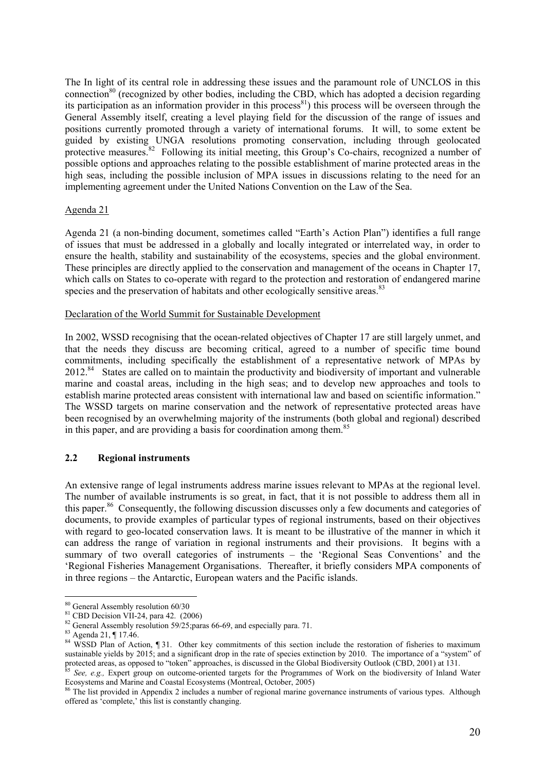The In light of its central role in addressing these issues and the paramount role of UNCLOS in this connection<sup>80</sup> (recognized by other bodies, including the CBD, which has adopted a decision regarding its participation as an information provider in this process<sup>81</sup>) this process will be overseen through the General Assembly itself, creating a level playing field for the discussion of the range of issues and positions currently promoted through a variety of international forums. It will, to some extent be guided by existing UNGA resolutions promoting conservation, including through geolocated protective measures.<sup>82</sup> Following its initial meeting, this Group's Co-chairs, recognized a number of possible options and approaches relating to the possible establishment of marine protected areas in the high seas, including the possible inclusion of MPA issues in discussions relating to the need for an implementing agreement under the United Nations Convention on the Law of the Sea.

### Agenda 21

Agenda 21 (a non-binding document, sometimes called "Earth's Action Plan") identifies a full range of issues that must be addressed in a globally and locally integrated or interrelated way, in order to ensure the health, stability and sustainability of the ecosystems, species and the global environment. These principles are directly applied to the conservation and management of the oceans in Chapter 17, which calls on States to co-operate with regard to the protection and restoration of endangered marine species and the preservation of habitats and other ecologically sensitive areas.<sup>83</sup>

#### Declaration of the World Summit for Sustainable Development

In 2002, WSSD recognising that the ocean-related objectives of Chapter 17 are still largely unmet, and that the needs they discuss are becoming critical, agreed to a number of specific time bound commitments, including specifically the establishment of a representative network of MPAs by 2012.84 States are called on to maintain the productivity and biodiversity of important and vulnerable marine and coastal areas, including in the high seas; and to develop new approaches and tools to establish marine protected areas consistent with international law and based on scientific information." The WSSD targets on marine conservation and the network of representative protected areas have been recognised by an overwhelming majority of the instruments (both global and regional) described in this paper, and are providing a basis for coordination among them.<sup>85</sup>

### **2.2 Regional instruments**

An extensive range of legal instruments address marine issues relevant to MPAs at the regional level. The number of available instruments is so great, in fact, that it is not possible to address them all in this paper.86 Consequently, the following discussion discusses only a few documents and categories of documents, to provide examples of particular types of regional instruments, based on their objectives with regard to geo-located conservation laws. It is meant to be illustrative of the manner in which it can address the range of variation in regional instruments and their provisions. It begins with a summary of two overall categories of instruments – the 'Regional Seas Conventions' and the 'Regional Fisheries Management Organisations. Thereafter, it briefly considers MPA components of in three regions – the Antarctic, European waters and the Pacific islands.

 $\overline{a}$ <sup>80</sup> General Assembly resolution 60/30

<sup>&</sup>lt;sup>81</sup> CBD Decision VII-24, para 42. (2006)<br><sup>82</sup> General Assembly resolution 59/25;paras 66-69, and especially para. 71. <sup>82</sup> General Assembly resolution 59/25;paras 66-69, and especially para. 71.<br><sup>83</sup> Agenda 21, ¶ 17.46.

 $84$  WSSD Plan of Action, ¶ 31. Other key commitments of this section include the restoration of fisheries to maximum sustainable yields by 2015; and a significant drop in the rate of species extinction by 2010. The importance of a "system" of protected areas, as opposed to "token" approaches, is discussed in the Global Biodiversity Outlook (CBD, 2001) at 131.<br><sup>85</sup> See, e.g., Expert group on outcome-oriented targets for the Programmes of Work on the biodiversity

Ecosystems and Marine and Coastal Ecosystems (Montreal, October, 2005)<br><sup>86</sup> The list provided in Appendix 2 includes a number of regional marine governance instruments of various types. Although

offered as 'complete,' this list is constantly changing.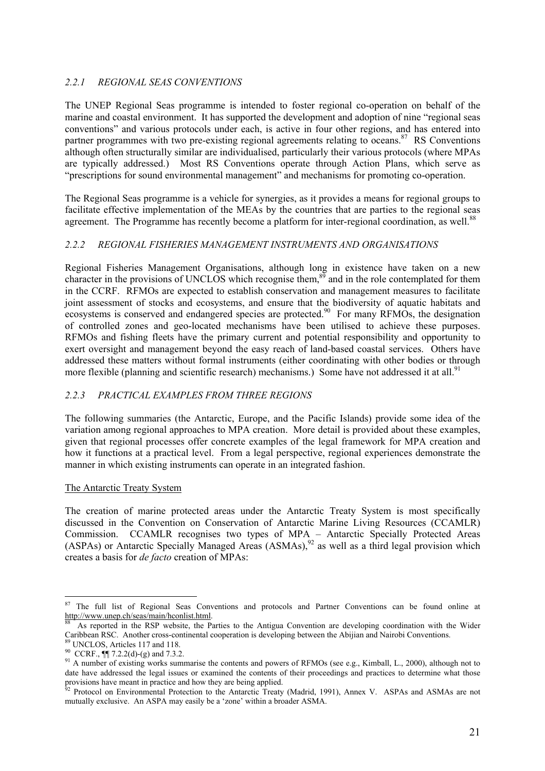# *2.2.1 REGIONAL SEAS CONVENTIONS*

The UNEP Regional Seas programme is intended to foster regional co-operation on behalf of the marine and coastal environment. It has supported the development and adoption of nine "regional seas conventions" and various protocols under each, is active in four other regions, and has entered into partner programmes with two pre-existing regional agreements relating to oceans.<sup>87</sup> RS Conventions although often structurally similar are individualised, particularly their various protocols (where MPAs are typically addressed.) Most RS Conventions operate through Action Plans, which serve as "prescriptions for sound environmental management" and mechanisms for promoting co-operation.

The Regional Seas programme is a vehicle for synergies, as it provides a means for regional groups to facilitate effective implementation of the MEAs by the countries that are parties to the regional seas agreement. The Programme has recently become a platform for inter-regional coordination, as well.<sup>88</sup>

# *2.2.2 REGIONAL FISHERIES MANAGEMENT INSTRUMENTS AND ORGANISATIONS*

Regional Fisheries Management Organisations, although long in existence have taken on a new character in the provisions of UNCLOS which recognise them,<sup>89</sup> and in the role contemplated for them in the CCRF. RFMOs are expected to establish conservation and management measures to facilitate joint assessment of stocks and ecosystems, and ensure that the biodiversity of aquatic habitats and ecosystems is conserved and endangered species are protected.<sup>90</sup> For many RFMOs, the designation of controlled zones and geo-located mechanisms have been utilised to achieve these purposes. RFMOs and fishing fleets have the primary current and potential responsibility and opportunity to exert oversight and management beyond the easy reach of land-based coastal services. Others have addressed these matters without formal instruments (either coordinating with other bodies or through more flexible (planning and scientific research) mechanisms.) Some have not addressed it at all.<sup>91</sup>

# *2.2.3 PRACTICAL EXAMPLES FROM THREE REGIONS*

The following summaries (the Antarctic, Europe, and the Pacific Islands) provide some idea of the variation among regional approaches to MPA creation. More detail is provided about these examples, given that regional processes offer concrete examples of the legal framework for MPA creation and how it functions at a practical level. From a legal perspective, regional experiences demonstrate the manner in which existing instruments can operate in an integrated fashion.

# The Antarctic Treaty System

The creation of marine protected areas under the Antarctic Treaty System is most specifically discussed in the Convention on Conservation of Antarctic Marine Living Resources (CCAMLR) Commission. CCAMLR recognises two types of MPA – Antarctic Specially Protected Areas (ASPAs) or Antarctic Specially Managed Areas  $(ASMAS)^{92}$  as well as a third legal provision which creates a basis for *de facto* creation of MPAs:

 $\overline{a}$ <sup>87</sup> The full list of Regional Seas Conventions and protocols and Partner Conventions can be found online at http://www.unep.ch/seas/main/hconlist.html.<br><sup>88</sup> As reported in the RSP website, the Parties to the Antigua Convention are developing coordination with the Wider

Caribbean RSC. Another cross-continental cooperation is developing between the Abijian and Nairobi Conventions. 89 UNCLOS, Articles 117 and 118.

<sup>90</sup> CCRF., ¶¶ 7.2.2(d)-(g) and 7.3.2.

 $91$  A number of existing works summarise the contents and powers of RFMOs (see e.g., Kimball, L., 2000), although not to date have addressed the legal issues or examined the contents of their proceedings and practices to determine what those provisions have meant in practice and how they are being applied.

Protocol on Environmental Protection to the Antarctic Treaty (Madrid, 1991), Annex V. ASPAs and ASMAs are not mutually exclusive. An ASPA may easily be a 'zone' within a broader ASMA.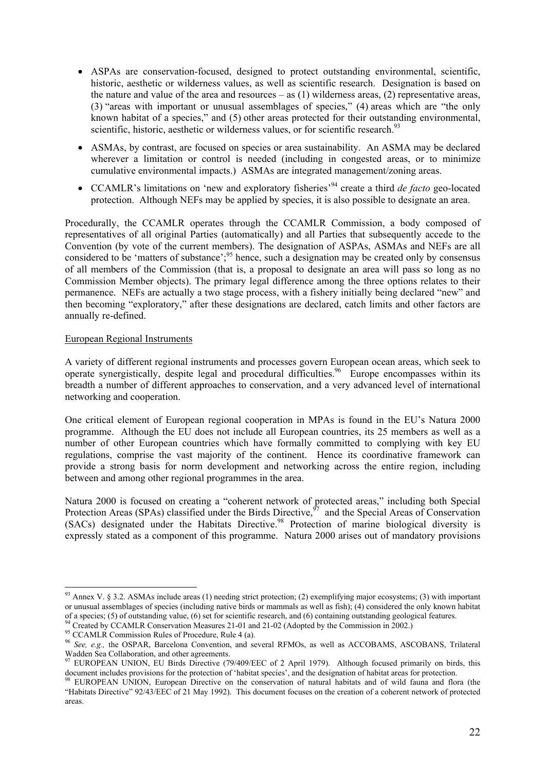- ASPAs are conservation-focused, designed to protect outstanding environmental, scientific, historic, aesthetic or wilderness values, as well as scientific research. Designation is based on the nature and value of the area and resources – as  $(1)$  wilderness areas,  $(2)$  representative areas, (3) "areas with important or unusual assemblages of species," (4) areas which are "the only known habitat of a species," and (5) other areas protected for their outstanding environmental, scientific, historic, aesthetic or wilderness values, or for scientific research.<sup>93</sup>
- ASMAs, by contrast, are focused on species or area sustainability. An ASMA may be declared wherever a limitation or control is needed (including in congested areas, or to minimize cumulative environmental impacts.) ASMAs are integrated management/zoning areas.
- CCAMLR's limitations on 'new and exploratory fisheries'94 create a third *de facto* geo-located protection. Although NEFs may be applied by species, it is also possible to designate an area.

Procedurally, the CCAMLR operates through the CCAMLR Commission, a body composed of representatives of all original Parties (automatically) and all Parties that subsequently accede to the Convention (by vote of the current members). The designation of ASPAs, ASMAs and NEFs are all considered to be 'matters of substance';<sup>95</sup> hence, such a designation may be created only by consensus of all members of the Commission (that is, a proposal to designate an area will pass so long as no Commission Member objects). The primary legal difference among the three options relates to their permanence. NEFs are actually a two stage process, with a fishery initially being declared "new" and then becoming "exploratory," after these designations are declared, catch limits and other factors are annually re-defined.

### European Regional Instruments

A variety of different regional instruments and processes govern European ocean areas, which seek to operate synergistically, despite legal and procedural difficulties.<sup>96</sup> Europe encompasses within its breadth a number of different approaches to conservation, and a very advanced level of international networking and cooperation.

One critical element of European regional cooperation in MPAs is found in the EU's Natura 2000 programme. Although the EU does not include all European countries, its 25 members as well as a number of other European countries which have formally committed to complying with key EU regulations, comprise the vast majority of the continent. Hence its coordinative framework can provide a strong basis for norm development and networking across the entire region, including between and among other regional programmes in the area.

Natura 2000 is focused on creating a "coherent network of protected areas," including both Special Protection Areas (SPAs) classified under the Birds Directive, $\frac{97}{7}$  and the Special Areas of Conservation (SACs) designated under the Habitats Directive.<sup>98</sup> Protection of marine biological diversity is expressly stated as a component of this programme. Natura 2000 arises out of mandatory provisions

<sup>&</sup>lt;sup>93</sup> Annex V. § 3.2. ASMAs include areas (1) needing strict protection; (2) exemplifying major ecosystems; (3) with important or unusual assemblages of species (including native birds or mammals as well as fish); (4) considered the only known habitat of a species; (5) of outstanding value, (6) set for scientific research, and (6) containing outs

<sup>&</sup>lt;sup>94</sup> Created by CCAMLR Conservation Measures 21-01 and 21-02 (Adopted by the Commission in 2002.)<br><sup>95</sup> CCAMLR Commission Rules of Procedure, Rule 4 (a).

<sup>96</sup> *See, e.g.,* the OSPAR, Barcelona Convention, and several RFMOs, as well as ACCOBAMS, ASCOBANS, Trilateral Wadden Sea Collaboration, and other agreements.

<sup>&</sup>lt;sup>97</sup> EUROPEAN UNION, EU Birds Directive (79/409/EEC of 2 April 1979). Although focused primarily on birds, this document includes provisions for the protection of 'habitat species', and the designation of habitat areas for protection.<br><sup>98</sup> EUROPEAN UNION, European Directive on the conservation of natural habitats and of wild fauna a

<sup>&</sup>quot;Habitats Directive" 92/43/EEC of 21 May 1992). This document focuses on the creation of a coherent network of protected areas.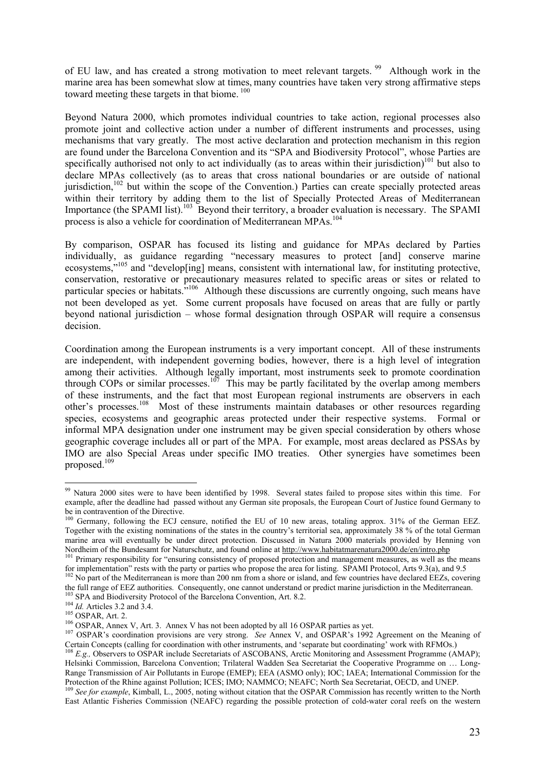of EU law, and has created a strong motivation to meet relevant targets.<sup>99</sup> Although work in the marine area has been somewhat slow at times, many countries have taken very strong affirmative steps toward meeting these targets in that biome.<sup>100</sup>

Beyond Natura 2000, which promotes individual countries to take action, regional processes also promote joint and collective action under a number of different instruments and processes, using mechanisms that vary greatly. The most active declaration and protection mechanism in this region are found under the Barcelona Convention and its "SPA and Biodiversity Protocol", whose Parties are specifically authorised not only to act individually (as to areas within their jurisdiction)<sup>101</sup> but also to declare MPAs collectively (as to areas that cross national boundaries or are outside of national jurisdiction,<sup>102</sup> but within the scope of the Convention.) Parties can create specially protected areas within their territory by adding them to the list of Specially Protected Areas of Mediterranean Importance (the SPAMI list).<sup>103</sup> Beyond their territory, a broader evaluation is necessary. The SPAMI process is also a vehicle for coordination of Mediterranean MPAs.<sup>104</sup>

By comparison, OSPAR has focused its listing and guidance for MPAs declared by Parties individually, as guidance regarding "necessary measures to protect [and] conserve marine ecosystems,"<sup>105</sup> and "develop[ing] means, consistent with international law, for instituting protective, conservation, restorative or precautionary measures related to specific areas or sites or related to particular species or habitats."<sup>106</sup> Although these discussions are currently ongoing, such means have not been developed as yet. Some current proposals have focused on areas that are fully or partly beyond national jurisdiction – whose formal designation through OSPAR will require a consensus decision.

Coordination among the European instruments is a very important concept. All of these instruments are independent, with independent governing bodies, however, there is a high level of integration among their activities. Although legally important, most instruments seek to promote coordination through COPs or similar processes.<sup>107</sup> This may be partly facilitated by the overlap among members of these instruments, and the fact that most European regional instruments are observers in each other's processes.<sup>108</sup> Most of these instruments maintain databases or other resources regarding species, ecosystems and geographic areas protected under their respective systems. Formal or informal MPA designation under one instrument may be given special consideration by others whose geographic coverage includes all or part of the MPA. For example, most areas declared as PSSAs by IMO are also Special Areas under specific IMO treaties. Other synergies have sometimes been proposed.<sup>109</sup>

<sup>&</sup>lt;sup>99</sup> Natura 2000 sites were to have been identified by 1998. Several states failed to propose sites within this time. For example, after the deadline had passed without any German site proposals, the European Court of Justice found Germany to be in contravention of the Directive.

<sup>&</sup>lt;sup>100</sup> Germany, following the ECJ censure, notified the EU of 10 new areas, totaling approx. 31% of the German EEZ. Together with the existing nominations of the states in the country's territorial sea, approximately 38 % of the total German marine area will eventually be under direct protection. Discussed in Natura 2000 materials provided by Henning von

Nordheim of the Bundesamt for Naturschutz, and found online at http://www.habitatmarenatura2000.de/en/intro.php<br><sup>101</sup> Primary responsibility for "ensuring consistency of proposed protection and management measures, as well

<sup>&</sup>lt;sup>102</sup> No part of the Mediterranean is more than 200 nm from a shore or island, and few countries have declared EEZs, covering<br>the full range of EEZ authorities. Consequently, one cannot understand or predict marine jurisdi

<sup>&</sup>lt;sup>103</sup> SPA and Biodiversity Protocol of the Barcelona Convention, Art. 8.2.<br><sup>104</sup> *Id.* Articles 3.2 and 3.4.<br><sup>105</sup> OSPAR, Art. 2.<br><sup>106</sup> OSPAR, Annex V, Art. 3. Annex V has not been adopted by all 16 OSPAR parties as yet.<br> Certain Concepts (calling for coordination with other instruments, and 'separate but coordinating' work with RFMOs.)<br><sup>108</sup> E.g., Observers to OSPAR include Secretariats of ASCOBANS, Arctic Monitoring and Assessment Program

Helsinki Commission, Barcelona Convention; Trilateral Wadden Sea Secretariat the Cooperative Programme on … Long-Range Transmission of Air Pollutants in Europe (EMEP); EEA (ASMO only); IOC; IAEA; International Commission for the Protection of the Rhine against Pollution; ICES; IMO; NAMMCO; NEAFC; North Sea Secretariat, OECD, and UNEP

<sup>&</sup>lt;sup>109</sup> See for example, Kimball, L., 2005, noting without citation that the OSPAR Commission has recently written to the North East Atlantic Fisheries Commission (NEAFC) regarding the possible protection of cold-water coral reefs on the western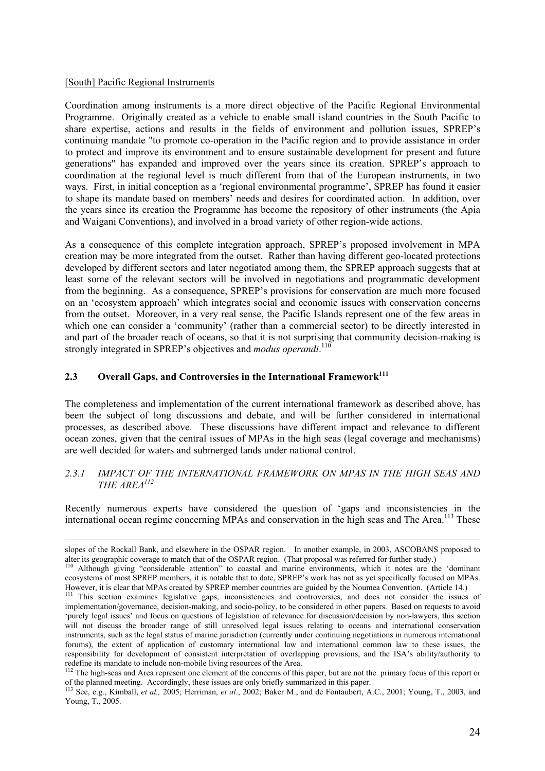#### [South] Pacific Regional Instruments

Coordination among instruments is a more direct objective of the Pacific Regional Environmental Programme. Originally created as a vehicle to enable small island countries in the South Pacific to share expertise, actions and results in the fields of environment and pollution issues, SPREP's continuing mandate "to promote co-operation in the Pacific region and to provide assistance in order to protect and improve its environment and to ensure sustainable development for present and future generations" has expanded and improved over the years since its creation. SPREP's approach to coordination at the regional level is much different from that of the European instruments, in two ways. First, in initial conception as a 'regional environmental programme', SPREP has found it easier to shape its mandate based on members' needs and desires for coordinated action. In addition, over the years since its creation the Programme has become the repository of other instruments (the Apia and Waigani Conventions), and involved in a broad variety of other region-wide actions.

As a consequence of this complete integration approach, SPREP's proposed involvement in MPA creation may be more integrated from the outset. Rather than having different geo-located protections developed by different sectors and later negotiated among them, the SPREP approach suggests that at least some of the relevant sectors will be involved in negotiations and programmatic development from the beginning. As a consequence, SPREP's provisions for conservation are much more focused on an 'ecosystem approach' which integrates social and economic issues with conservation concerns from the outset. Moreover, in a very real sense, the Pacific Islands represent one of the few areas in which one can consider a 'community' (rather than a commercial sector) to be directly interested in and part of the broader reach of oceans, so that it is not surprising that community decision-making is strongly integrated in SPREP's objectives and *modus operandi*.<sup>110</sup>

### **2.3 Overall Gaps, and Controversies in the International Framework111**

The completeness and implementation of the current international framework as described above, has been the subject of long discussions and debate, and will be further considered in international processes, as described above. These discussions have different impact and relevance to different ocean zones, given that the central issues of MPAs in the high seas (legal coverage and mechanisms) are well decided for waters and submerged lands under national control.

### *2.3.1 IMPACT OF THE INTERNATIONAL FRAMEWORK ON MPAS IN THE HIGH SEAS AND THE AREA<sup>112</sup>*

Recently numerous experts have considered the question of 'gaps and inconsistencies in the international ocean regime concerning MPAs and conservation in the high seas and The Area.<sup>113</sup> These

slopes of the Rockall Bank, and elsewhere in the OSPAR region. In another example, in 2003, ASCOBANS proposed to alter its geographic coverage to match that of the OSPAR region. (That proposal was referred for further stud

<sup>&</sup>lt;sup>110</sup> Although giving "considerable attention" to coastal and marine environments, which it notes are the 'dominant ecosystems of most SPREP members, it is notable that to date, SPREP's work has not as yet specifically focused on MPAs. However, it is clear that MPAs created by SPREP member countries are guided by the Noumea Convention. (Article 14.)<br><sup>111</sup> This section examines legislative gaps, inconsistencies and controversies, and does not consider the

implementation/governance, decision-making, and socio-policy, to be considered in other papers. Based on requests to avoid 'purely legal issues' and focus on questions of legislation of relevance for discussion/decision by non-lawyers, this section will not discuss the broader range of still unresolved legal issues relating to oceans and international conservation instruments, such as the legal status of marine jurisdiction (currently under continuing negotiations in numerous international forums), the extent of application of customary international law and international common law to these issues, the responsibility for development of consistent interpretation of overlapping provisions, and the ISA's ability/authority to redefine its mandate to include non-mobile living resources of the Area. 112 The high-seas and Area represent one element of the concerns of this paper, but are not the primary focus of this report or

of the planned meeting. Accordingly, these issues are only briefly summarized in this paper.<br><sup>113</sup> See, e.g., Kimball, *et al.*, 2005; Herriman, *et al.*, 2002; Baker M., and de Fontaubert, A.C., 2001; Young, T., 2003, and

Young, T., 2005.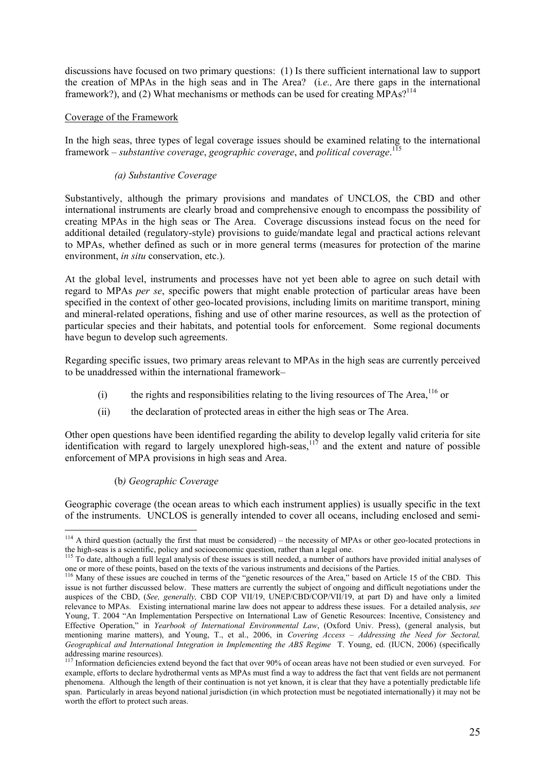discussions have focused on two primary questions: (1) Is there sufficient international law to support the creation of MPAs in the high seas and in The Area? (i*.e.,* Are there gaps in the international framework?), and (2) What mechanisms or methods can be used for creating  $\overline{MPAs}$ ?<sup>114</sup>

### Coverage of the Framework

In the high seas, three types of legal coverage issues should be examined relating to the international framework – *substantive coverage*, *geographic coverage*, and *political coverage*. 115

### *(a) Substantive Coverage*

Substantively, although the primary provisions and mandates of UNCLOS, the CBD and other international instruments are clearly broad and comprehensive enough to encompass the possibility of creating MPAs in the high seas or The Area. Coverage discussions instead focus on the need for additional detailed (regulatory-style) provisions to guide/mandate legal and practical actions relevant to MPAs, whether defined as such or in more general terms (measures for protection of the marine environment, *in situ* conservation, etc.).

At the global level, instruments and processes have not yet been able to agree on such detail with regard to MPAs *per se*, specific powers that might enable protection of particular areas have been specified in the context of other geo-located provisions, including limits on maritime transport, mining and mineral-related operations, fishing and use of other marine resources, as well as the protection of particular species and their habitats, and potential tools for enforcement. Some regional documents have begun to develop such agreements.

Regarding specific issues, two primary areas relevant to MPAs in the high seas are currently perceived to be unaddressed within the international framework–

- (i) the rights and responsibilities relating to the living resources of The Area,  $116$  or
- (ii) the declaration of protected areas in either the high seas or The Area.

Other open questions have been identified regarding the ability to develop legally valid criteria for site identification with regard to largely unexplored high-seas,  $117$  and the extent and nature of possible enforcement of MPA provisions in high seas and Area.

### (b*) Geographic Coverage*

 $\overline{a}$ 

Geographic coverage (the ocean areas to which each instrument applies) is usually specific in the text of the instruments. UNCLOS is generally intended to cover all oceans, including enclosed and semi-

 $114$  A third question (actually the first that must be considered) – the necessity of MPAs or other geo-located protections in

the high-seas is a scientific, policy and socioeconomic question, rather than a legal one.<br><sup>115</sup> To date, although a full legal analysis of these issues is still needed, a number of authors have provided initial analyses o

<sup>&</sup>lt;sup>116</sup> Many of these issues are couched in terms of the "genetic resources of the Area," based on Article 15 of the CBD. This issue is not further discussed below. These matters are currently the subject of ongoing and difficult negotiations under the auspices of the CBD, (*See, generally,* CBD COP VII/19, UNEP/CBD/COP/VII/19, at part D) and have only a limited relevance to MPAs. Existing international marine law does not appear to address these issues. For a detailed analysis, *see* Young, T. 2004 "An Implementation Perspective on International Law of Genetic Resources: Incentive, Consistency and Effective Operation," in *Yearbook of International Environmental Law*, (Oxford Univ. Press), (general analysis, but mentioning marine matters), and Young, T., et al., 2006, in *Covering Access – Addressing the Need for Sectoral, Geographical and International Integration in Implementing the ABS Regime* T. Young, ed. (IUCN, 2006) (specifically addressing marine resources).

<sup>&</sup>lt;sup>117</sup> Information deficiencies extend beyond the fact that over 90% of ocean areas have not been studied or even surveyed. For example, efforts to declare hydrothermal vents as MPAs must find a way to address the fact that vent fields are not permanent phenomena. Although the length of their continuation is not yet known, it is clear that they have a potentially predictable life span. Particularly in areas beyond national jurisdiction (in which protection must be negotiated internationally) it may not be worth the effort to protect such areas.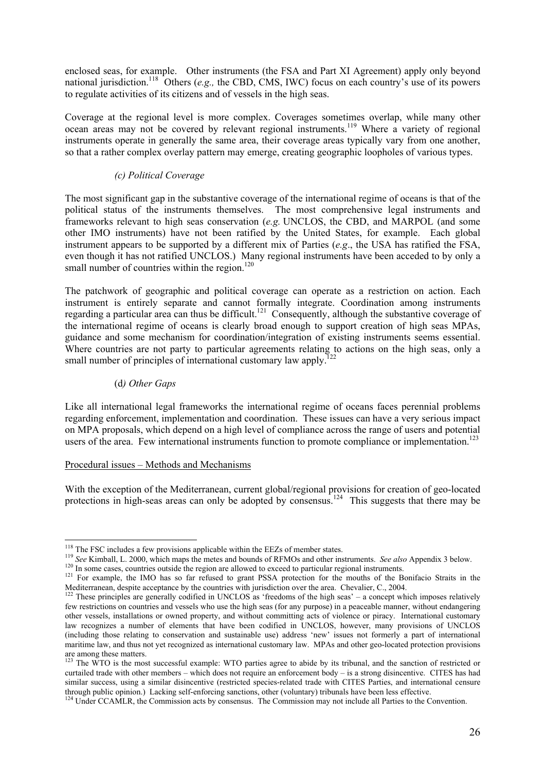enclosed seas, for example. Other instruments (the FSA and Part XI Agreement) apply only beyond national jurisdiction.<sup>118</sup> Others (*e.g.,* the CBD, CMS, IWC) focus on each country's use of its powers to regulate activities of its citizens and of vessels in the high seas.

Coverage at the regional level is more complex. Coverages sometimes overlap, while many other ocean areas may not be covered by relevant regional instruments.<sup>119</sup> Where a variety of regional instruments operate in generally the same area, their coverage areas typically vary from one another, so that a rather complex overlay pattern may emerge, creating geographic loopholes of various types.

# *(c) Political Coverage*

The most significant gap in the substantive coverage of the international regime of oceans is that of the political status of the instruments themselves. The most comprehensive legal instruments and frameworks relevant to high seas conservation (*e.g.* UNCLOS, the CBD, and MARPOL (and some other IMO instruments) have not been ratified by the United States, for example. Each global instrument appears to be supported by a different mix of Parties (*e.g*., the USA has ratified the FSA, even though it has not ratified UNCLOS.) Many regional instruments have been acceded to by only a small number of countries within the region. $120$ 

The patchwork of geographic and political coverage can operate as a restriction on action. Each instrument is entirely separate and cannot formally integrate. Coordination among instruments regarding a particular area can thus be difficult.<sup>121</sup> Consequently, although the substantive coverage of the international regime of oceans is clearly broad enough to support creation of high seas MPAs, guidance and some mechanism for coordination/integration of existing instruments seems essential. Where countries are not party to particular agreements relating to actions on the high seas, only a small number of principles of international customary law apply.

### (d*) Other Gaps*

Like all international legal frameworks the international regime of oceans faces perennial problems regarding enforcement, implementation and coordination. These issues can have a very serious impact on MPA proposals, which depend on a high level of compliance across the range of users and potential users of the area. Few international instruments function to promote compliance or implementation.<sup>123</sup>

### Procedural issues – Methods and Mechanisms

With the exception of the Mediterranean, current global/regional provisions for creation of geo-located protections in high-seas areas can only be adopted by consensus.<sup>124</sup> This suggests that there may be

 $118$  The FSC includes a few provisions applicable within the EEZs of member states.

<sup>&</sup>lt;sup>119</sup> See Kimball, L. 2000, which maps the metes and bounds of RFMOs and other instruments. See also Appendix 3 below.<br><sup>120</sup> In some cases, countries outside the region are allowed to exceed to particular regional instrume

These principles are generally codified in UNCLOS as 'freedoms of the high seas' - a concept which imposes relatively few restrictions on countries and vessels who use the high seas (for any purpose) in a peaceable manner, without endangering other vessels, installations or owned property, and without committing acts of violence or piracy. International customary law recognizes a number of elements that have been codified in UNCLOS, however, many provisions of UNCLOS (including those relating to conservation and sustainable use) address 'new' issues not formerly a part of international maritime law, and thus not yet recognized as international customary law. MPAs and other geo-located protection provisions are among these matters.

<sup>&</sup>lt;sup>123</sup> The WTO is the most successful example: WTO parties agree to abide by its tribunal, and the sanction of restricted or curtailed trade with other members – which does not require an enforcement body – is a strong disincentive. CITES has had similar success, using a similar disincentive (restricted species-related trade with CITES Parties, and international censure through public opinion.) Lacking self-enforcing sanctions, other (voluntary) tribunals have been less effective.<br><sup>124</sup> Under CCAMLR, the Commission acts by consensus. The Commission may not include all Parties to the Conve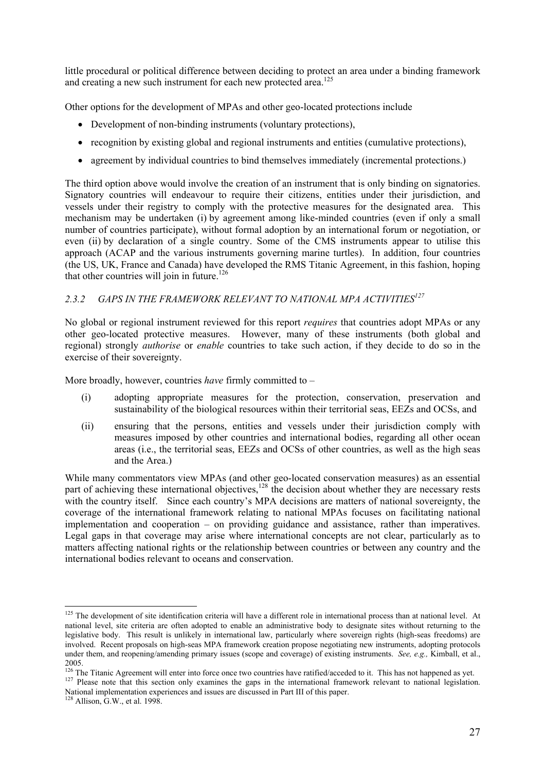little procedural or political difference between deciding to protect an area under a binding framework and creating a new such instrument for each new protected area.<sup>125</sup>

Other options for the development of MPAs and other geo-located protections include

- Development of non-binding instruments (voluntary protections),
- recognition by existing global and regional instruments and entities (cumulative protections),
- agreement by individual countries to bind themselves immediately (incremental protections.)

The third option above would involve the creation of an instrument that is only binding on signatories. Signatory countries will endeavour to require their citizens, entities under their jurisdiction, and vessels under their registry to comply with the protective measures for the designated area. This mechanism may be undertaken (i) by agreement among like-minded countries (even if only a small number of countries participate), without formal adoption by an international forum or negotiation, or even (ii) by declaration of a single country. Some of the CMS instruments appear to utilise this approach (ACAP and the various instruments governing marine turtles). In addition, four countries (the US, UK, France and Canada) have developed the RMS Titanic Agreement, in this fashion, hoping that other countries will join in future.<sup>126</sup>

# *2.3.2 GAPS IN THE FRAMEWORK RELEVANT TO NATIONAL MPA ACTIVITIES127*

No global or regional instrument reviewed for this report *requires* that countries adopt MPAs or any other geo-located protective measures. However, many of these instruments (both global and regional) strongly *authorise* or *enable* countries to take such action, if they decide to do so in the exercise of their sovereignty.

More broadly, however, countries *have* firmly committed to –

- (i) adopting appropriate measures for the protection, conservation, preservation and sustainability of the biological resources within their territorial seas, EEZs and OCSs, and
- (ii) ensuring that the persons, entities and vessels under their jurisdiction comply with measures imposed by other countries and international bodies, regarding all other ocean areas (i.e., the territorial seas, EEZs and OCSs of other countries, as well as the high seas and the Area.)

While many commentators view MPAs (and other geo-located conservation measures) as an essential part of achieving these international objectives,<sup>128</sup> the decision about whether they are necessary rests with the country itself. Since each country's MPA decisions are matters of national sovereignty, the coverage of the international framework relating to national MPAs focuses on facilitating national implementation and cooperation – on providing guidance and assistance, rather than imperatives. Legal gaps in that coverage may arise where international concepts are not clear, particularly as to matters affecting national rights or the relationship between countries or between any country and the international bodies relevant to oceans and conservation.

National implementation experiences and issues are discussed in Part III of this paper.

 $125$  The development of site identification criteria will have a different role in international process than at national level. At national level, site criteria are often adopted to enable an administrative body to designate sites without returning to the legislative body. This result is unlikely in international law, particularly where sovereign rights (high-seas freedoms) are involved. Recent proposals on high-seas MPA framework creation propose negotiating new instruments, adopting protocols under them, and reopening/amending primary issues (scope and coverage) of existing instruments. *See, e.g.,* Kimball, et al.,

<sup>2005.&</sup>lt;br><sup>126</sup> The Titanic Agreement will enter into force once two countries have ratified/acceded to it. This has not happened as yet. <sup>127</sup> Please note that this section only examines the gaps in the international framework relevant to national legislation.

 $128$  Allison, G.W., et al. 1998.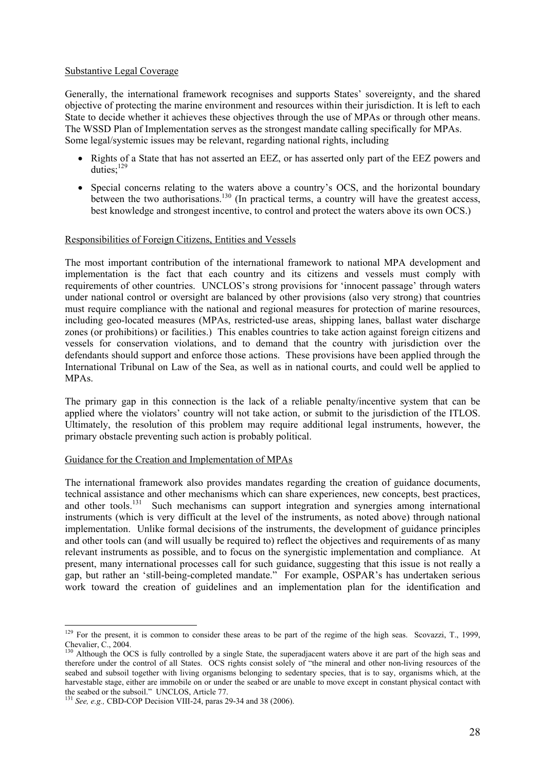### Substantive Legal Coverage

Generally, the international framework recognises and supports States' sovereignty, and the shared objective of protecting the marine environment and resources within their jurisdiction. It is left to each State to decide whether it achieves these objectives through the use of MPAs or through other means. The WSSD Plan of Implementation serves as the strongest mandate calling specifically for MPAs. Some legal/systemic issues may be relevant, regarding national rights, including

- Rights of a State that has not asserted an EEZ, or has asserted only part of the EEZ powers and duties:<sup>129</sup>
- Special concerns relating to the waters above a country's OCS, and the horizontal boundary between the two authorisations.<sup>130</sup> (In practical terms, a country will have the greatest access, best knowledge and strongest incentive, to control and protect the waters above its own OCS.)

### Responsibilities of Foreign Citizens, Entities and Vessels

The most important contribution of the international framework to national MPA development and implementation is the fact that each country and its citizens and vessels must comply with requirements of other countries. UNCLOS's strong provisions for 'innocent passage' through waters under national control or oversight are balanced by other provisions (also very strong) that countries must require compliance with the national and regional measures for protection of marine resources, including geo-located measures (MPAs, restricted-use areas, shipping lanes, ballast water discharge zones (or prohibitions) or facilities.) This enables countries to take action against foreign citizens and vessels for conservation violations, and to demand that the country with jurisdiction over the defendants should support and enforce those actions. These provisions have been applied through the International Tribunal on Law of the Sea, as well as in national courts, and could well be applied to MPAs.

The primary gap in this connection is the lack of a reliable penalty/incentive system that can be applied where the violators' country will not take action, or submit to the jurisdiction of the ITLOS. Ultimately, the resolution of this problem may require additional legal instruments, however, the primary obstacle preventing such action is probably political.

### Guidance for the Creation and Implementation of MPAs

The international framework also provides mandates regarding the creation of guidance documents, technical assistance and other mechanisms which can share experiences, new concepts, best practices, and other tools.<sup>131</sup> Such mechanisms can support integration and synergies among international instruments (which is very difficult at the level of the instruments, as noted above) through national implementation. Unlike formal decisions of the instruments, the development of guidance principles and other tools can (and will usually be required to) reflect the objectives and requirements of as many relevant instruments as possible, and to focus on the synergistic implementation and compliance. At present, many international processes call for such guidance, suggesting that this issue is not really a gap, but rather an 'still-being-completed mandate." For example, OSPAR's has undertaken serious work toward the creation of guidelines and an implementation plan for the identification and

 $129$  For the present, it is common to consider these areas to be part of the regime of the high seas. Scovazzi, T., 1999, Chevalier, C., 2004.

<sup>&</sup>lt;sup>130</sup> Although the OCS is fully controlled by a single State, the superadjacent waters above it are part of the high seas and therefore under the control of all States. OCS rights consist solely of "the mineral and other non-living resources of the seabed and subsoil together with living organisms belonging to sedentary species, that is to say, organisms which, at the harvestable stage, either are immobile on or under the seabed or are unable to move except in constant physical contact with the seabed or the subsoil." UNCLOS, Article 77.

<sup>131</sup> *See, e.g.,* CBD-COP Decision VIII-24, paras 29-34 and 38 (2006).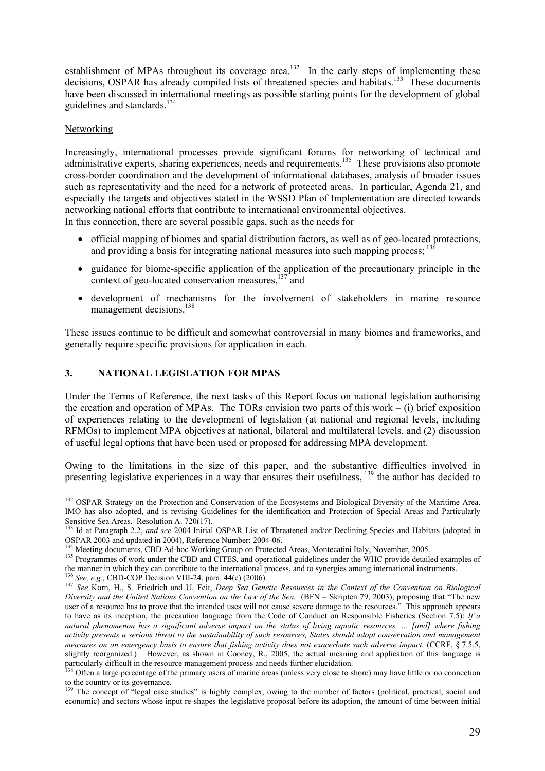establishment of MPAs throughout its coverage area.<sup>132</sup> In the early steps of implementing these decisions, OSPAR has already compiled lists of threatened species and habitats.<sup>133</sup> These documents have been discussed in international meetings as possible starting points for the development of global guidelines and standards.<sup>134</sup>

### Networking

Increasingly, international processes provide significant forums for networking of technical and administrative experts, sharing experiences, needs and requirements.<sup>135</sup> These provisions also promote cross-border coordination and the development of informational databases, analysis of broader issues such as representativity and the need for a network of protected areas. In particular, Agenda 21, and especially the targets and objectives stated in the WSSD Plan of Implementation are directed towards networking national efforts that contribute to international environmental objectives. In this connection, there are several possible gaps, such as the needs for

- official mapping of biomes and spatial distribution factors, as well as of geo-located protections, and providing a basis for integrating national measures into such mapping process;  $^{13\delta}$
- guidance for biome-specific application of the application of the precautionary principle in the context of geo-located conservation measures,  $137 \text{ rad}$
- development of mechanisms for the involvement of stakeholders in marine resource management decisions.<sup>138</sup>

These issues continue to be difficult and somewhat controversial in many biomes and frameworks, and generally require specific provisions for application in each.

# **3. NATIONAL LEGISLATION FOR MPAS**

Under the Terms of Reference, the next tasks of this Report focus on national legislation authorising the creation and operation of MPAs. The TORs envision two parts of this work  $-$  (i) brief exposition of experiences relating to the development of legislation (at national and regional levels, including RFMOs) to implement MPA objectives at national, bilateral and multilateral levels, and (2) discussion of useful legal options that have been used or proposed for addressing MPA development.

Owing to the limitations in the size of this paper, and the substantive difficulties involved in presenting legislative experiences in a way that ensures their usefulness, 139 the author has decided to

 $\overline{a}$ <sup>132</sup> OSPAR Strategy on the Protection and Conservation of the Ecosystems and Biological Diversity of the Maritime Area. IMO has also adopted, and is revising Guidelines for the identification and Protection of Special Areas and Particularly Sensitive Sea Areas. Resolution A. 720(17).

<sup>133</sup> Id at Paragraph 2.2, *and see* 2004 Initial OSPAR List of Threatened and/or Declining Species and Habitats (adopted in OSPAR 2003 and updated in 2004), Reference Number: 2004-06.<br><sup>134</sup> Meeting documents, CBD Ad-hoc Working Group on Protected Areas, Montecatini Italy, November, 2005.

<sup>135</sup> Programmes of work under the CBD and CITES, and operational guidelines under the WHC provide detailed examples of the manner in which they can contribute to the international process, and to synergies among internation

<sup>136</sup> See, e.g., CBD-COP Decision VIII-24, para 44(c) (2006).<br><sup>137</sup> See, e.g., CBD-COP Decision VIII-24, para 44(c) (2006).<br><sup>137</sup> See Korn, H., S. Friedrich and U. Feit, *Deep Sea Genetic Resources in the Context of the Conv Diversity and the United Nations Convention on the Law of the Sea.* (BFN – Skripten 79, 2003), proposing that "The new user of a resource has to prove that the intended uses will not cause severe damage to the resources." This approach appears to have as its inception, the precaution language from the Code of Conduct on Responsible Fisheries (Section 7.5): *If a natural phenomenon has a significant adverse impact on the status of living aquatic resources, … [and] where fishing activity presents a serious threat to the sustainability of such resources, States should adopt conservation and management measures on an emergency basis to ensure that fishing activity does not exacerbate such adverse impact.* (CCRF, § 7.5.5, slightly reorganized.) However, as shown in Cooney, R., 2005, the actual meaning and application of this language is particularly difficult in the resource management process and needs further elucidation.<br><sup>138</sup> Often a large percentage of the primary users of marine areas (unless very close to shore) may have little or no connection

to the country or its governance.

<sup>&</sup>lt;sup>139</sup> The concept of "legal case studies" is highly complex, owing to the number of factors (political, practical, social and economic) and sectors whose input re-shapes the legislative proposal before its adoption, the amount of time between initial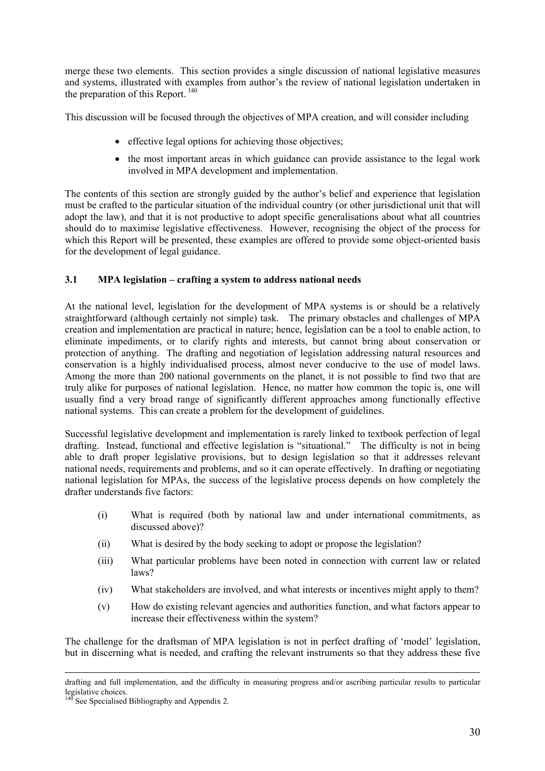merge these two elements. This section provides a single discussion of national legislative measures and systems, illustrated with examples from author's the review of national legislation undertaken in the preparation of this Report. 140

This discussion will be focused through the objectives of MPA creation, and will consider including

- effective legal options for achieving those objectives:
- the most important areas in which guidance can provide assistance to the legal work involved in MPA development and implementation.

The contents of this section are strongly guided by the author's belief and experience that legislation must be crafted to the particular situation of the individual country (or other jurisdictional unit that will adopt the law), and that it is not productive to adopt specific generalisations about what all countries should do to maximise legislative effectiveness. However, recognising the object of the process for which this Report will be presented, these examples are offered to provide some object-oriented basis for the development of legal guidance.

# **3.1 MPA legislation – crafting a system to address national needs**

At the national level, legislation for the development of MPA systems is or should be a relatively straightforward (although certainly not simple) task. The primary obstacles and challenges of MPA creation and implementation are practical in nature; hence, legislation can be a tool to enable action, to eliminate impediments, or to clarify rights and interests, but cannot bring about conservation or protection of anything. The drafting and negotiation of legislation addressing natural resources and conservation is a highly individualised process, almost never conducive to the use of model laws. Among the more than 200 national governments on the planet, it is not possible to find two that are truly alike for purposes of national legislation. Hence, no matter how common the topic is, one will usually find a very broad range of significantly different approaches among functionally effective national systems. This can create a problem for the development of guidelines.

Successful legislative development and implementation is rarely linked to textbook perfection of legal drafting. Instead, functional and effective legislation is "situational." The difficulty is not in being able to draft proper legislative provisions, but to design legislation so that it addresses relevant national needs, requirements and problems, and so it can operate effectively. In drafting or negotiating national legislation for MPAs, the success of the legislative process depends on how completely the drafter understands five factors:

- (i) What is required (both by national law and under international commitments, as discussed above)?
- (ii) What is desired by the body seeking to adopt or propose the legislation?
- (iii) What particular problems have been noted in connection with current law or related laws?
- (iv) What stakeholders are involved, and what interests or incentives might apply to them?
- (v) How do existing relevant agencies and authorities function, and what factors appear to increase their effectiveness within the system?

The challenge for the draftsman of MPA legislation is not in perfect drafting of 'model' legislation, but in discerning what is needed, and crafting the relevant instruments so that they address these five

drafting and full implementation, and the difficulty in measuring progress and/or ascribing particular results to particular legislative choices.

See Specialised Bibliography and Appendix 2.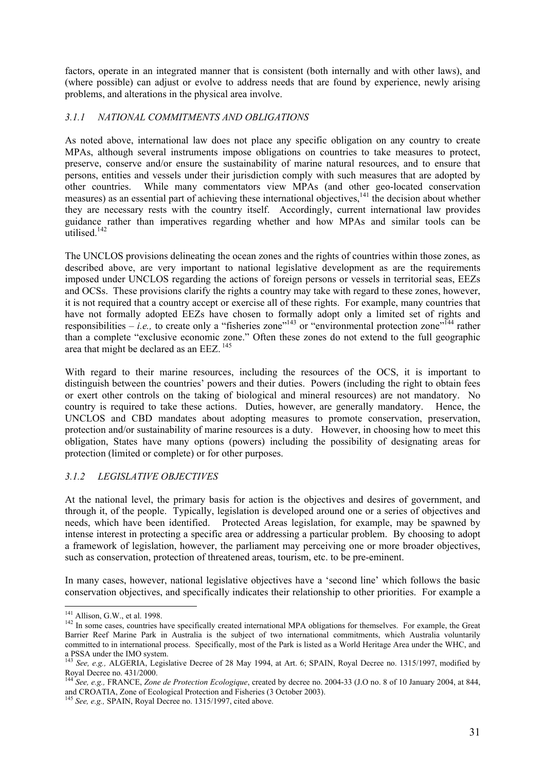factors, operate in an integrated manner that is consistent (both internally and with other laws), and (where possible) can adjust or evolve to address needs that are found by experience, newly arising problems, and alterations in the physical area involve.

# *3.1.1 NATIONAL COMMITMENTS AND OBLIGATIONS*

As noted above, international law does not place any specific obligation on any country to create MPAs, although several instruments impose obligations on countries to take measures to protect, preserve, conserve and/or ensure the sustainability of marine natural resources, and to ensure that persons, entities and vessels under their jurisdiction comply with such measures that are adopted by other countries. While many commentators view MPAs (and other geo-located conservation measures) as an essential part of achieving these international objectives,<sup>141</sup> the decision about whether they are necessary rests with the country itself. Accordingly, current international law provides guidance rather than imperatives regarding whether and how MPAs and similar tools can be utilised. $142$ 

The UNCLOS provisions delineating the ocean zones and the rights of countries within those zones, as described above, are very important to national legislative development as are the requirements imposed under UNCLOS regarding the actions of foreign persons or vessels in territorial seas, EEZs and OCSs. These provisions clarify the rights a country may take with regard to these zones, however, it is not required that a country accept or exercise all of these rights. For example, many countries that have not formally adopted EEZs have chosen to formally adopt only a limited set of rights and responsibilities – *i.e.*, to create only a "fisheries zone"<sup>143</sup> or "environmental protection zone"<sup>144</sup> rather than a complete "exclusive economic zone." Often these zones do not extend to the full geographic area that might be declared as an EEZ. 145

With regard to their marine resources, including the resources of the OCS, it is important to distinguish between the countries' powers and their duties. Powers (including the right to obtain fees or exert other controls on the taking of biological and mineral resources) are not mandatory. No country is required to take these actions. Duties, however, are generally mandatory. Hence, the UNCLOS and CBD mandates about adopting measures to promote conservation, preservation, protection and/or sustainability of marine resources is a duty. However, in choosing how to meet this obligation, States have many options (powers) including the possibility of designating areas for protection (limited or complete) or for other purposes.

# *3.1.2 LEGISLATIVE OBJECTIVES*

At the national level, the primary basis for action is the objectives and desires of government, and through it, of the people. Typically, legislation is developed around one or a series of objectives and needs, which have been identified. Protected Areas legislation, for example, may be spawned by intense interest in protecting a specific area or addressing a particular problem. By choosing to adopt a framework of legislation, however, the parliament may perceiving one or more broader objectives, such as conservation, protection of threatened areas, tourism, etc. to be pre-eminent.

In many cases, however, national legislative objectives have a 'second line' which follows the basic conservation objectives, and specifically indicates their relationship to other priorities. For example a

 $^{141}$  Allison, G.W., et al. 1998.

 $142$  In some cases, countries have specifically created international MPA obligations for themselves. For example, the Great Barrier Reef Marine Park in Australia is the subject of two international commitments, which Australia voluntarily committed to in international process. Specifically, most of the Park is listed as a World Heritage Area under the WHC, and a PSSA under the IMO system.

<sup>143</sup> *See, e.g.,* ALGERIA, Legislative Decree of 28 May 1994, at Art. 6; SPAIN, Royal Decree no. 1315/1997, modified by Royal Decree no. 431/2000.

<sup>144</sup> *See, e.g.,* FRANCE, *Zone de Protection Ecologique*, created by decree no. 2004-33 (J.O no. 8 of 10 January 2004, at 844, and CROATIA, Zone of Ecological Protection and Fisheries (3 October 2003). 145 *See, e.g.,* SPAIN, Royal Decree no. 1315/1997, cited above.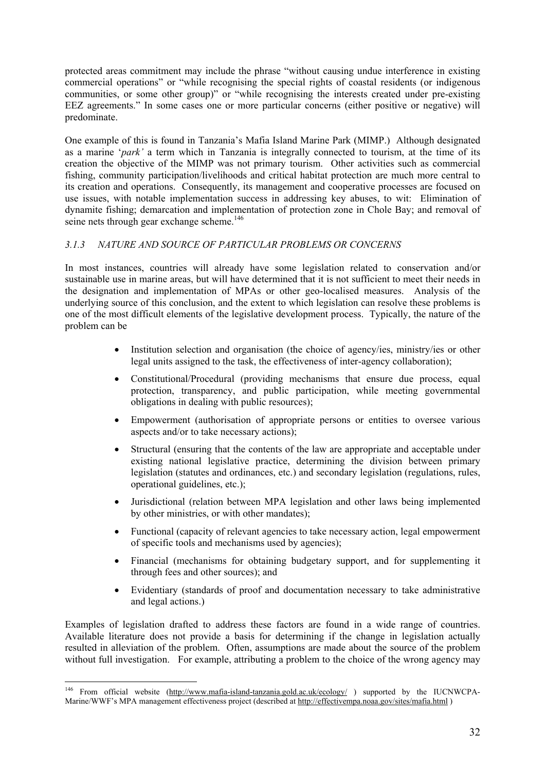protected areas commitment may include the phrase "without causing undue interference in existing commercial operations" or "while recognising the special rights of coastal residents (or indigenous communities, or some other group)" or "while recognising the interests created under pre-existing EEZ agreements." In some cases one or more particular concerns (either positive or negative) will predominate.

One example of this is found in Tanzania's Mafia Island Marine Park (MIMP.) Although designated as a marine '*park'* a term which in Tanzania is integrally connected to tourism, at the time of its creation the objective of the MIMP was not primary tourism. Other activities such as commercial fishing, community participation/livelihoods and critical habitat protection are much more central to its creation and operations. Consequently, its management and cooperative processes are focused on use issues, with notable implementation success in addressing key abuses, to wit: Elimination of dynamite fishing; demarcation and implementation of protection zone in Chole Bay; and removal of seine nets through gear exchange scheme.<sup>146</sup>

# *3.1.3 NATURE AND SOURCE OF PARTICULAR PROBLEMS OR CONCERNS*

In most instances, countries will already have some legislation related to conservation and/or sustainable use in marine areas, but will have determined that it is not sufficient to meet their needs in the designation and implementation of MPAs or other geo-localised measures. Analysis of the underlying source of this conclusion, and the extent to which legislation can resolve these problems is one of the most difficult elements of the legislative development process. Typically, the nature of the problem can be

- Institution selection and organisation (the choice of agency/ies, ministry/ies or other legal units assigned to the task, the effectiveness of inter-agency collaboration);
- Constitutional/Procedural (providing mechanisms that ensure due process, equal protection, transparency, and public participation, while meeting governmental obligations in dealing with public resources);
- Empowerment (authorisation of appropriate persons or entities to oversee various aspects and/or to take necessary actions);
- Structural (ensuring that the contents of the law are appropriate and acceptable under existing national legislative practice, determining the division between primary legislation (statutes and ordinances, etc.) and secondary legislation (regulations, rules, operational guidelines, etc.);
- Jurisdictional (relation between MPA legislation and other laws being implemented by other ministries, or with other mandates);
- Functional (capacity of relevant agencies to take necessary action, legal empowerment of specific tools and mechanisms used by agencies);
- Financial (mechanisms for obtaining budgetary support, and for supplementing it through fees and other sources); and
- Evidentiary (standards of proof and documentation necessary to take administrative and legal actions.)

Examples of legislation drafted to address these factors are found in a wide range of countries. Available literature does not provide a basis for determining if the change in legislation actually resulted in alleviation of the problem. Often, assumptions are made about the source of the problem without full investigation. For example, attributing a problem to the choice of the wrong agency may

<sup>&</sup>lt;sup>146</sup> From official website (http://www.mafia-island-tanzania.gold.ac.uk/ecology/) supported by the IUCNWCPA-Marine/WWF's MPA management effectiveness project (described at http://effectivempa.noaa.gov/sites/mafia.html )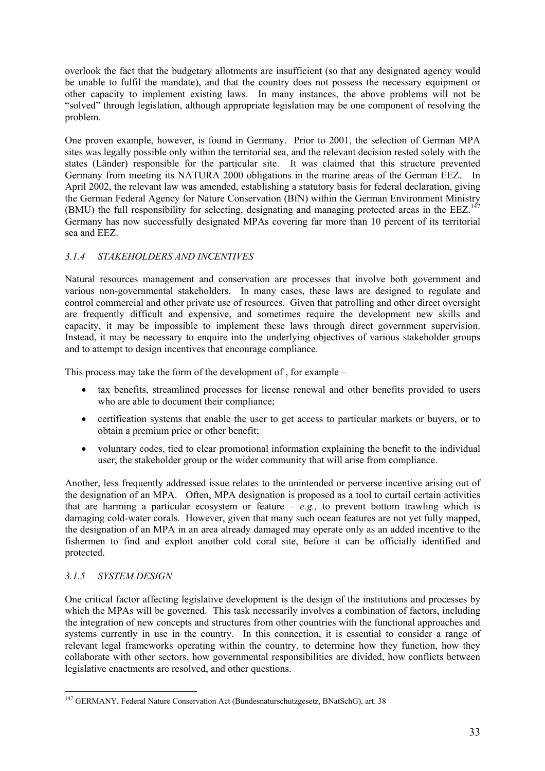overlook the fact that the budgetary allotments are insufficient (so that any designated agency would be unable to fulfil the mandate), and that the country does not possess the necessary equipment or other capacity to implement existing laws. In many instances, the above problems will not be "solved" through legislation, although appropriate legislation may be one component of resolving the problem.

One proven example, however, is found in Germany. Prior to 2001, the selection of German MPA sites was legally possible only within the territorial sea, and the relevant decision rested solely with the states (Länder) responsible for the particular site. It was claimed that this structure prevented Germany from meeting its NATURA 2000 obligations in the marine areas of the German EEZ. In April 2002, the relevant law was amended, establishing a statutory basis for federal declaration, giving the German Federal Agency for Nature Conservation (BfN) within the German Environment Ministry (BMU) the full responsibility for selecting, designating and managing protected areas in the EEZ.<sup>147</sup> Germany has now successfully designated MPAs covering far more than 10 percent of its territorial sea and EEZ.

# *3.1.4 STAKEHOLDERS AND INCENTIVES*

Natural resources management and conservation are processes that involve both government and various non-governmental stakeholders. In many cases, these laws are designed to regulate and control commercial and other private use of resources. Given that patrolling and other direct oversight are frequently difficult and expensive, and sometimes require the development new skills and capacity, it may be impossible to implement these laws through direct government supervision. Instead, it may be necessary to enquire into the underlying objectives of various stakeholder groups and to attempt to design incentives that encourage compliance.

This process may take the form of the development of , for example –

- tax benefits, streamlined processes for license renewal and other benefits provided to users who are able to document their compliance;
- certification systems that enable the user to get access to particular markets or buyers, or to obtain a premium price or other benefit;
- voluntary codes, tied to clear promotional information explaining the benefit to the individual user, the stakeholder group or the wider community that will arise from compliance.

Another, less frequently addressed issue relates to the unintended or perverse incentive arising out of the designation of an MPA. Often, MPA designation is proposed as a tool to curtail certain activities that are harming a particular ecosystem or feature  $-e.g.,$  to prevent bottom trawling which is damaging cold-water corals. However, given that many such ocean features are not yet fully mapped, the designation of an MPA in an area already damaged may operate only as an added incentive to the fishermen to find and exploit another cold coral site, before it can be officially identified and protected.

# *3.1.5 SYSTEM DESIGN*

One critical factor affecting legislative development is the design of the institutions and processes by which the MPAs will be governed. This task necessarily involves a combination of factors, including the integration of new concepts and structures from other countries with the functional approaches and systems currently in use in the country. In this connection, it is essential to consider a range of relevant legal frameworks operating within the country, to determine how they function, how they collaborate with other sectors, how governmental responsibilities are divided, how conflicts between legislative enactments are resolved, and other questions.

 $\overline{a}$ <sup>147</sup> GERMANY, Federal Nature Conservation Act (Bundesnaturschutzgesetz, BNatSchG), art. 38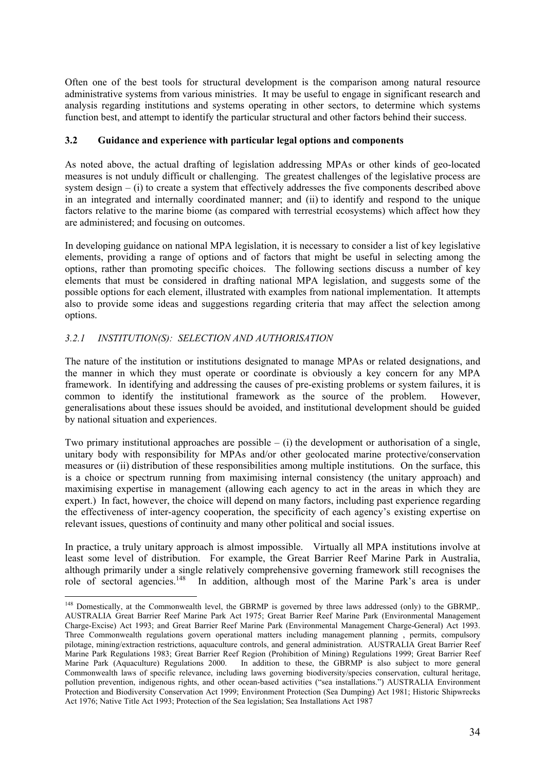Often one of the best tools for structural development is the comparison among natural resource administrative systems from various ministries. It may be useful to engage in significant research and analysis regarding institutions and systems operating in other sectors, to determine which systems function best, and attempt to identify the particular structural and other factors behind their success.

### **3.2 Guidance and experience with particular legal options and components**

As noted above, the actual drafting of legislation addressing MPAs or other kinds of geo-located measures is not unduly difficult or challenging. The greatest challenges of the legislative process are system design – (i) to create a system that effectively addresses the five components described above in an integrated and internally coordinated manner; and (ii) to identify and respond to the unique factors relative to the marine biome (as compared with terrestrial ecosystems) which affect how they are administered; and focusing on outcomes.

In developing guidance on national MPA legislation, it is necessary to consider a list of key legislative elements, providing a range of options and of factors that might be useful in selecting among the options, rather than promoting specific choices. The following sections discuss a number of key elements that must be considered in drafting national MPA legislation, and suggests some of the possible options for each element, illustrated with examples from national implementation. It attempts also to provide some ideas and suggestions regarding criteria that may affect the selection among options.

# *3.2.1 INSTITUTION(S): SELECTION AND AUTHORISATION*

 $\overline{a}$ 

The nature of the institution or institutions designated to manage MPAs or related designations, and the manner in which they must operate or coordinate is obviously a key concern for any MPA framework. In identifying and addressing the causes of pre-existing problems or system failures, it is common to identify the institutional framework as the source of the problem. However, generalisations about these issues should be avoided, and institutional development should be guided by national situation and experiences.

Two primary institutional approaches are possible  $-$  (i) the development or authorisation of a single, unitary body with responsibility for MPAs and/or other geolocated marine protective/conservation measures or (ii) distribution of these responsibilities among multiple institutions. On the surface, this is a choice or spectrum running from maximising internal consistency (the unitary approach) and maximising expertise in management (allowing each agency to act in the areas in which they are expert.) In fact, however, the choice will depend on many factors, including past experience regarding the effectiveness of inter-agency cooperation, the specificity of each agency's existing expertise on relevant issues, questions of continuity and many other political and social issues.

In practice, a truly unitary approach is almost impossible. Virtually all MPA institutions involve at least some level of distribution. For example, the Great Barrier Reef Marine Park in Australia, although primarily under a single relatively comprehensive governing framework still recognises the role of sectoral agencies.<sup>148</sup> In addition, although most of the Marine Park's area is under

<sup>&</sup>lt;sup>148</sup> Domestically, at the Commonwealth level, the GBRMP is governed by three laws addressed (only) to the GBRMP,. AUSTRALIA Great Barrier Reef Marine Park Act 1975; Great Barrier Reef Marine Park (Environmental Management Charge-Excise) Act 1993; and Great Barrier Reef Marine Park (Environmental Management Charge-General) Act 1993. Three Commonwealth regulations govern operational matters including management planning , permits, compulsory pilotage, mining/extraction restrictions, aquaculture controls, and general administration. AUSTRALIA Great Barrier Reef Marine Park Regulations 1983; Great Barrier Reef Region (Prohibition of Mining) Regulations 1999; Great Barrier Reef Marine Park (Aquaculture) Regulations 2000. In addition to these, the GBRMP is also subject to more general Commonwealth laws of specific relevance, including laws governing biodiversity/species conservation, cultural heritage, pollution prevention, indigenous rights, and other ocean-based activities ("sea installations.") AUSTRALIA Environment Protection and Biodiversity Conservation Act 1999; Environment Protection (Sea Dumping) Act 1981; Historic Shipwrecks Act 1976; Native Title Act 1993; Protection of the Sea legislation; Sea Installations Act 1987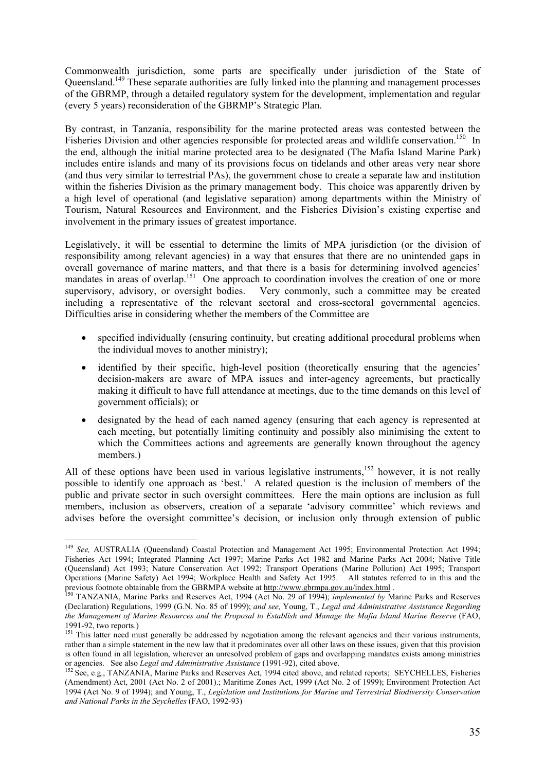Commonwealth jurisdiction, some parts are specifically under jurisdiction of the State of Queensland.149 These separate authorities are fully linked into the planning and management processes of the GBRMP, through a detailed regulatory system for the development, implementation and regular (every 5 years) reconsideration of the GBRMP's Strategic Plan.

By contrast, in Tanzania, responsibility for the marine protected areas was contested between the Fisheries Division and other agencies responsible for protected areas and wildlife conservation.<sup>150</sup> In the end, although the initial marine protected area to be designated (The Mafia Island Marine Park) includes entire islands and many of its provisions focus on tidelands and other areas very near shore (and thus very similar to terrestrial PAs), the government chose to create a separate law and institution within the fisheries Division as the primary management body. This choice was apparently driven by a high level of operational (and legislative separation) among departments within the Ministry of Tourism, Natural Resources and Environment, and the Fisheries Division's existing expertise and involvement in the primary issues of greatest importance.

Legislatively, it will be essential to determine the limits of MPA jurisdiction (or the division of responsibility among relevant agencies) in a way that ensures that there are no unintended gaps in overall governance of marine matters, and that there is a basis for determining involved agencies' mandates in areas of overlap.<sup>151</sup> One approach to coordination involves the creation of one or more supervisory, advisory, or oversight bodies. Very commonly, such a committee may be created including a representative of the relevant sectoral and cross-sectoral governmental agencies. Difficulties arise in considering whether the members of the Committee are

- specified individually (ensuring continuity, but creating additional procedural problems when the individual moves to another ministry);
- identified by their specific, high-level position (theoretically ensuring that the agencies' decision-makers are aware of MPA issues and inter-agency agreements, but practically making it difficult to have full attendance at meetings, due to the time demands on this level of government officials); or
- designated by the head of each named agency (ensuring that each agency is represented at each meeting, but potentially limiting continuity and possibly also minimising the extent to which the Committees actions and agreements are generally known throughout the agency members.)

All of these options have been used in various legislative instruments,  $152$  however, it is not really possible to identify one approach as 'best.' A related question is the inclusion of members of the public and private sector in such oversight committees. Here the main options are inclusion as full members, inclusion as observers, creation of a separate 'advisory committee' which reviews and advises before the oversight committee's decision, or inclusion only through extension of public

<sup>149</sup> *See,* AUSTRALIA (Queensland) Coastal Protection and Management Act 1995; Environmental Protection Act 1994; Fisheries Act 1994; Integrated Planning Act 1997; Marine Parks Act 1982 and Marine Parks Act 2004; Native Title (Queensland) Act 1993; Nature Conservation Act 1992; Transport Operations (Marine Pollution) Act 1995; Transport Operations (Marine Safety) Act 1994; Workplace Health and Safety Act 1995. All statutes referred to in this and the previous footnote obtainable from the GBRMPA website at http://www.gbrmpa.gov.au/index.html. previous footnote obtainable from the GBRMPA website at http://www.gbrmpa.gov.au/index.html .<br><sup>150</sup> TANZANIA, Marine Parks and Reserves Act, 1994 (Act No. 29 of 1994); *implemented by* Marine Parks and Reserves

<sup>(</sup>Declaration) Regulations, 1999 (G.N. No. 85 of 1999); *and see,* Young, T., *Legal and Administrative Assistance Regarding the Management of Marine Resources and the Proposal to Establish and Manage the Mafia Island Marine Reserve* (FAO, 1991-92, two reports.)

<sup>&</sup>lt;sup>151</sup> This latter need must generally be addressed by negotiation among the relevant agencies and their various instruments, rather than a simple statement in the new law that it predominates over all other laws on these issues, given that this provision is often found in all legislation, wherever an unresolved problem of gaps and overlapping mandates exists among ministries or agencies. See also *Legal and Administrative Assistance* (1991-92), cited above.<br><sup>152</sup> See, e.g., TANZANIA, Marine Parks and Reserves Act, 1994 cited above, and related reports; SEYCHELLES, Fisheries

<sup>(</sup>Amendment) Act, 2001 (Act No. 2 of 2001).; Maritime Zones Act, 1999 (Act No. 2 of 1999); Environment Protection Act 1994 (Act No. 9 of 1994); and Young, T., *Legislation and Institutions for Marine and Terrestrial Biodiversity Conservation and National Parks in the Seychelles* (FAO, 1992-93)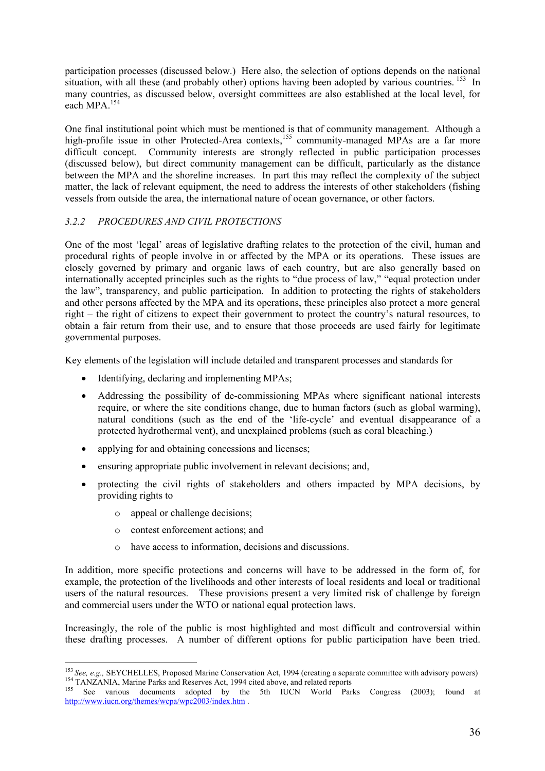participation processes (discussed below.) Here also, the selection of options depends on the national situation, with all these (and probably other) options having been adopted by various countries. <sup>153</sup> In many countries, as discussed below, oversight committees are also established at the local level, for each MPA.<sup>154</sup>

One final institutional point which must be mentioned is that of community management. Although a high-profile issue in other Protected-Area contexts,<sup>155</sup> community-managed MPAs are a far more difficult concept. Community interests are strongly reflected in public participation processes (discussed below), but direct community management can be difficult, particularly as the distance between the MPA and the shoreline increases. In part this may reflect the complexity of the subject matter, the lack of relevant equipment, the need to address the interests of other stakeholders (fishing vessels from outside the area, the international nature of ocean governance, or other factors.

# *3.2.2 PROCEDURES AND CIVIL PROTECTIONS*

One of the most 'legal' areas of legislative drafting relates to the protection of the civil, human and procedural rights of people involve in or affected by the MPA or its operations. These issues are closely governed by primary and organic laws of each country, but are also generally based on internationally accepted principles such as the rights to "due process of law," "equal protection under the law", transparency, and public participation. In addition to protecting the rights of stakeholders and other persons affected by the MPA and its operations, these principles also protect a more general right – the right of citizens to expect their government to protect the country's natural resources, to obtain a fair return from their use, and to ensure that those proceeds are used fairly for legitimate governmental purposes.

Key elements of the legislation will include detailed and transparent processes and standards for

- Identifying, declaring and implementing MPAs;
- Addressing the possibility of de-commissioning MPAs where significant national interests require, or where the site conditions change, due to human factors (such as global warming), natural conditions (such as the end of the 'life-cycle' and eventual disappearance of a protected hydrothermal vent), and unexplained problems (such as coral bleaching.)
- applying for and obtaining concessions and licenses;
- ensuring appropriate public involvement in relevant decisions; and,
- protecting the civil rights of stakeholders and others impacted by MPA decisions, by providing rights to
	- o appeal or challenge decisions;
	- o contest enforcement actions; and
	- o have access to information, decisions and discussions.

In addition, more specific protections and concerns will have to be addressed in the form of, for example, the protection of the livelihoods and other interests of local residents and local or traditional users of the natural resources. These provisions present a very limited risk of challenge by foreign and commercial users under the WTO or national equal protection laws.

Increasingly, the role of the public is most highlighted and most difficult and controversial within these drafting processes. A number of different options for public participation have been tried.

 $\overline{a}$ <sup>153</sup> See, e.g., SEYCHELLES, Proposed Marine Conservation Act, 1994 (creating a separate committee with advisory powers)<br><sup>154</sup> TANZANIA, Marine Parks and Reserves Act, 1994 cited above, and related reports<br><sup>155</sup> See vario

http://www.iucn.org/themes/wcpa/wpc2003/index.htm .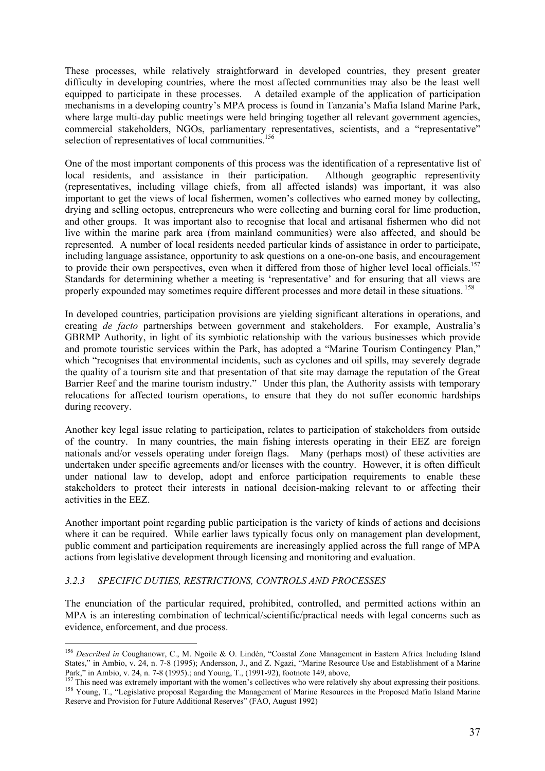These processes, while relatively straightforward in developed countries, they present greater difficulty in developing countries, where the most affected communities may also be the least well equipped to participate in these processes. A detailed example of the application of participation mechanisms in a developing country's MPA process is found in Tanzania's Mafia Island Marine Park, where large multi-day public meetings were held bringing together all relevant government agencies, commercial stakeholders, NGOs, parliamentary representatives, scientists, and a "representative" selection of representatives of local communities.<sup>156</sup>

One of the most important components of this process was the identification of a representative list of local residents, and assistance in their participation. Although geographic representivity (representatives, including village chiefs, from all affected islands) was important, it was also important to get the views of local fishermen, women's collectives who earned money by collecting, drying and selling octopus, entrepreneurs who were collecting and burning coral for lime production, and other groups. It was important also to recognise that local and artisanal fishermen who did not live within the marine park area (from mainland communities) were also affected, and should be represented. A number of local residents needed particular kinds of assistance in order to participate, including language assistance, opportunity to ask questions on a one-on-one basis, and encouragement to provide their own perspectives, even when it differed from those of higher level local officials.<sup>157</sup> Standards for determining whether a meeting is 'representative' and for ensuring that all views are properly expounded may sometimes require different processes and more detail in these situations. 158

In developed countries, participation provisions are yielding significant alterations in operations, and creating *de facto* partnerships between government and stakeholders. For example, Australia's GBRMP Authority, in light of its symbiotic relationship with the various businesses which provide and promote touristic services within the Park, has adopted a "Marine Tourism Contingency Plan," which "recognises that environmental incidents, such as cyclones and oil spills, may severely degrade the quality of a tourism site and that presentation of that site may damage the reputation of the Great Barrier Reef and the marine tourism industry." Under this plan, the Authority assists with temporary relocations for affected tourism operations, to ensure that they do not suffer economic hardships during recovery.

Another key legal issue relating to participation, relates to participation of stakeholders from outside of the country. In many countries, the main fishing interests operating in their EEZ are foreign nationals and/or vessels operating under foreign flags. Many (perhaps most) of these activities are undertaken under specific agreements and/or licenses with the country. However, it is often difficult under national law to develop, adopt and enforce participation requirements to enable these stakeholders to protect their interests in national decision-making relevant to or affecting their activities in the EEZ.

Another important point regarding public participation is the variety of kinds of actions and decisions where it can be required. While earlier laws typically focus only on management plan development, public comment and participation requirements are increasingly applied across the full range of MPA actions from legislative development through licensing and monitoring and evaluation.

# *3.2.3 SPECIFIC DUTIES, RESTRICTIONS, CONTROLS AND PROCESSES*

 $\overline{a}$ 

The enunciation of the particular required, prohibited, controlled, and permitted actions within an MPA is an interesting combination of technical/scientific/practical needs with legal concerns such as evidence, enforcement, and due process.

<sup>156</sup> *Described in* Coughanowr, C., M. Ngoile & O. Lindén, "Coastal Zone Management in Eastern Africa Including Island States," in Ambio, v. 24, n. 7-8 (1995); Andersson, J., and Z. Ngazi, "Marine Resource Use and Establishment of a Marine Park," in Ambio, v. 24, n. 7-8 (1995).; and Young, T., (1991-92), footnote 149, above,<br>  $^{157}$  This need was extremely important with the women's collectives who were relatively shy about expressing their positions.

<sup>&</sup>lt;sup>158</sup> Young, T., "Legislative proposal Regarding the Management of Marine Resources in the Proposed Mafia Island Marine Reserve and Provision for Future Additional Reserves" (FAO, August 1992)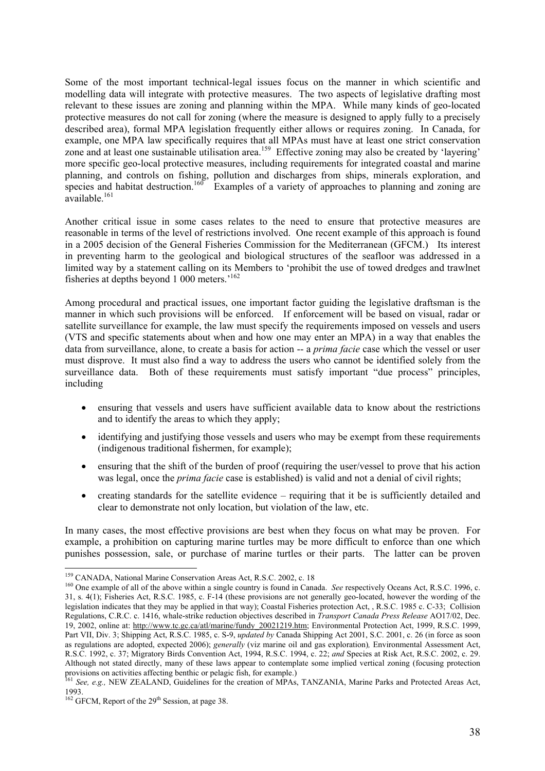Some of the most important technical-legal issues focus on the manner in which scientific and modelling data will integrate with protective measures. The two aspects of legislative drafting most relevant to these issues are zoning and planning within the MPA. While many kinds of geo-located protective measures do not call for zoning (where the measure is designed to apply fully to a precisely described area), formal MPA legislation frequently either allows or requires zoning. In Canada, for example, one MPA law specifically requires that all MPAs must have at least one strict conservation zone and at least one sustainable utilisation area.<sup>159</sup> Effective zoning may also be created by 'layering' more specific geo-local protective measures, including requirements for integrated coastal and marine planning, and controls on fishing, pollution and discharges from ships, minerals exploration, and species and habitat destruction.<sup>160</sup> Examples of a variety of approaches to planning and zoning are available.<sup>161</sup>

Another critical issue in some cases relates to the need to ensure that protective measures are reasonable in terms of the level of restrictions involved. One recent example of this approach is found in a 2005 decision of the General Fisheries Commission for the Mediterranean (GFCM.) Its interest in preventing harm to the geological and biological structures of the seafloor was addressed in a limited way by a statement calling on its Members to 'prohibit the use of towed dredges and trawlnet fisheries at depths beyond 1 000 meters.'<sup>162</sup>

Among procedural and practical issues, one important factor guiding the legislative draftsman is the manner in which such provisions will be enforced. If enforcement will be based on visual, radar or satellite surveillance for example, the law must specify the requirements imposed on vessels and users (VTS and specific statements about when and how one may enter an MPA) in a way that enables the data from surveillance, alone, to create a basis for action -- a *prima facie* case which the vessel or user must disprove. It must also find a way to address the users who cannot be identified solely from the surveillance data. Both of these requirements must satisfy important "due process" principles, including

- ensuring that vessels and users have sufficient available data to know about the restrictions and to identify the areas to which they apply;
- identifying and justifying those vessels and users who may be exempt from these requirements (indigenous traditional fishermen, for example);
- ensuring that the shift of the burden of proof (requiring the user/vessel to prove that his action was legal, once the *prima facie* case is established) is valid and not a denial of civil rights;
- creating standards for the satellite evidence requiring that it be is sufficiently detailed and clear to demonstrate not only location, but violation of the law, etc.

In many cases, the most effective provisions are best when they focus on what may be proven. For example, a prohibition on capturing marine turtles may be more difficult to enforce than one which punishes possession, sale, or purchase of marine turtles or their parts. The latter can be proven

<sup>&</sup>lt;sup>159</sup> CANADA, National Marine Conservation Areas Act, R.S.C. 2002, c. 18<br><sup>160</sup> One example of all of the above within a single country is found in Canada. *See* respectively Oceans Act, R.S.C. 1996, c. 31, s. 4(1); Fisheries Act, R.S.C. 1985, c. F-14 (these provisions are not generally geo-located, however the wording of the legislation indicates that they may be applied in that way); Coastal Fisheries protection Act, , R.S.C. 1985 c. C-33; Collision Regulations, C.R.C. c. 1416, whale-strike reduction objectives described in *Transport Canada Press Release* AO17/02, Dec. 19, 2002, online at: http://www.tc.gc.ca/atl/marine/fundy\_20021219.htm; Environmental Protection Act, 1999, R.S.C. 1999, Part VII, Div. 3; Shipping Act, R.S.C. 1985, c. S-9, *updated by* Canada Shipping Act 2001, S.C. 2001, c. 26 (in force as soon as regulations are adopted, expected 2006); *generally* (viz marine oil and gas exploration)*,* Environmental Assessment Act, R.S.C. 1992, c. 37; Migratory Birds Convention Act, 1994, R.S.C. 1994, c. 22; *and* Species at Risk Act, R.S.C. 2002, c. 29. Although not stated directly, many of these laws appear to contemplate some implied vertical zoning (focusing protection provisions on activities affecting benthic or pelagic fish, for example.)<br><sup>161</sup> *See, e.g.,* NEW ZEALAND, Guidelines for the creation of MPAs, TANZANIA, Marine Parks and Protected Areas Act,

<sup>1993.</sup> 

 $162$  GFCM, Report of the 29<sup>th</sup> Session, at page 38.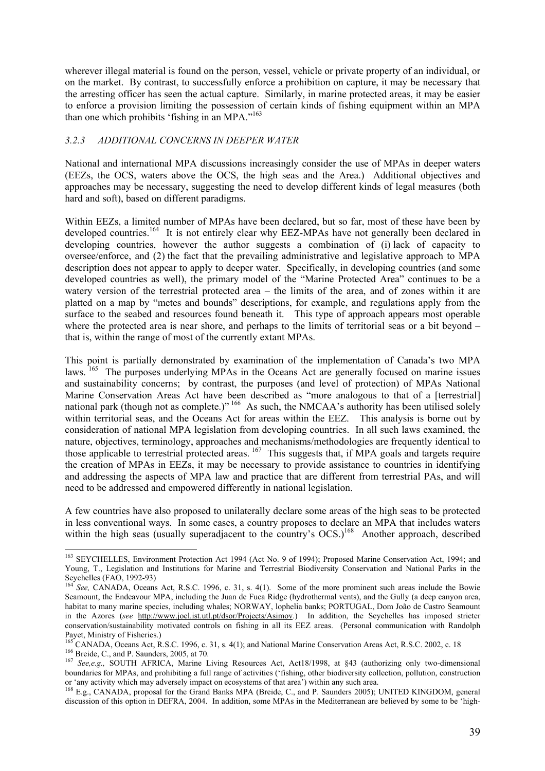wherever illegal material is found on the person, vessel, vehicle or private property of an individual, or on the market. By contrast, to successfully enforce a prohibition on capture, it may be necessary that the arresting officer has seen the actual capture. Similarly, in marine protected areas, it may be easier to enforce a provision limiting the possession of certain kinds of fishing equipment within an MPA than one which prohibits 'fishing in an MPA."<sup>163</sup>

### *3.2.3 ADDITIONAL CONCERNS IN DEEPER WATER*

National and international MPA discussions increasingly consider the use of MPAs in deeper waters (EEZs, the OCS, waters above the OCS, the high seas and the Area.) Additional objectives and approaches may be necessary, suggesting the need to develop different kinds of legal measures (both hard and soft), based on different paradigms.

Within EEZs, a limited number of MPAs have been declared, but so far, most of these have been by developed countries.<sup>164</sup> It is not entirely clear why EEZ-MPAs have not generally been declared in developing countries, however the author suggests a combination of (i) lack of capacity to oversee/enforce, and (2) the fact that the prevailing administrative and legislative approach to MPA description does not appear to apply to deeper water. Specifically, in developing countries (and some developed countries as well), the primary model of the "Marine Protected Area" continues to be a watery version of the terrestrial protected area – the limits of the area, and of zones within it are platted on a map by "metes and bounds" descriptions, for example, and regulations apply from the surface to the seabed and resources found beneath it. This type of approach appears most operable where the protected area is near shore, and perhaps to the limits of territorial seas or a bit beyond – that is, within the range of most of the currently extant MPAs.

This point is partially demonstrated by examination of the implementation of Canada's two MPA laws. <sup>165</sup> The purposes underlying MPAs in the Oceans Act are generally focused on marine issues and sustainability concerns; by contrast, the purposes (and level of protection) of MPAs National Marine Conservation Areas Act have been described as "more analogous to that of a [terrestrial] national park (though not as complete.)<sup>" 166</sup> As such, the NMCAA's authority has been utilised solely within territorial seas, and the Oceans Act for areas within the EEZ. This analysis is borne out by consideration of national MPA legislation from developing countries. In all such laws examined, the nature, objectives, terminology, approaches and mechanisms/methodologies are frequently identical to those applicable to terrestrial protected areas.<sup>167</sup> This suggests that, if MPA goals and targets require the creation of MPAs in EEZs, it may be necessary to provide assistance to countries in identifying and addressing the aspects of MPA law and practice that are different from terrestrial PAs, and will need to be addressed and empowered differently in national legislation.

A few countries have also proposed to unilaterally declare some areas of the high seas to be protected in less conventional ways. In some cases, a country proposes to declare an MPA that includes waters within the high seas (usually superadjacent to the country's OCS.)<sup>168</sup> Another approach, described

 $\overline{a}$ <sup>163</sup> SEYCHELLES, Environment Protection Act 1994 (Act No. 9 of 1994); Proposed Marine Conservation Act, 1994; and Young, T., Legislation and Institutions for Marine and Terrestrial Biodiversity Conservation and National Parks in the Seychelles (FAO, 1992-93)

<sup>164</sup> *See,* CANADA, Oceans Act, R.S.C. 1996, c. 31, s. 4(1). Some of the more prominent such areas include the Bowie Seamount, the Endeavour MPA, including the Juan de Fuca Ridge (hydrothermal vents), and the Gully (a deep canyon area, habitat to many marine species, including whales; NORWAY, lophelia banks; PORTUGAL, Dom João de Castro Seamount in the Azores (*see* http://www.joel.ist.utl.pt/dsor/Projects/Asimov.) In addition, the Seychelles has imposed stricter conservation/sustainability motivated controls on fishing in all its EEZ areas. (Personal communication with Randolph Payet, Ministry of Fisheries.)

<sup>&</sup>lt;sup>165</sup> CANADA, Oceans Act, R.S.C. 1996, c. 31, s. 4(1); and National Marine Conservation Areas Act, R.S.C. 2002, c. 18<br><sup>166</sup> Breide, C., and P. Saunders, 2005, at 70.<br><sup>167</sup> *See,e.g.*, SOUTH AFRICA, Marine Living Resources

boundaries for MPAs, and prohibiting a full range of activities ('fishing, other biodiversity collection, pollution, construction or 'any activity which may adversely impact on ecosystems of that area') within any such area.

<sup>168</sup> E.g., CANADA, proposal for the Grand Banks MPA (Breide, C., and P. Saunders 2005); UNITED KINGDOM, general discussion of this option in DEFRA, 2004. In addition, some MPAs in the Mediterranean are believed by some to be 'high-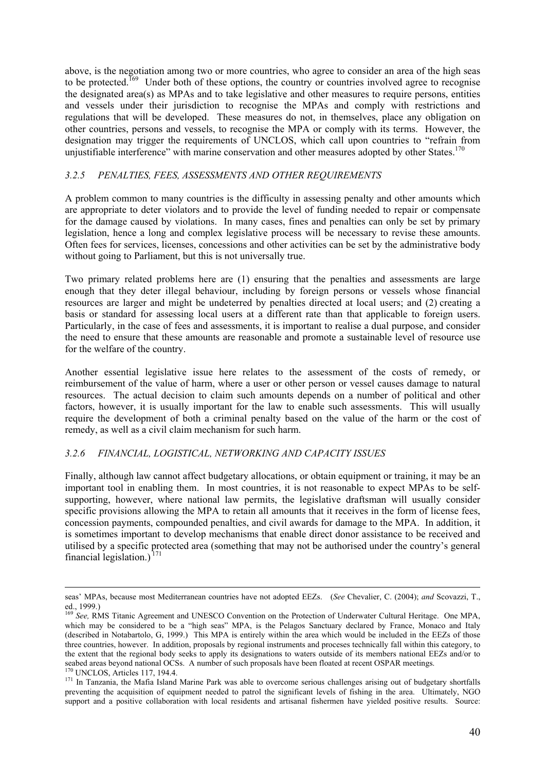above, is the negotiation among two or more countries, who agree to consider an area of the high seas to be protected.<sup>169</sup> Under both of these options, the country or countries involved agree to recognise the designated area(s) as MPAs and to take legislative and other measures to require persons, entities and vessels under their jurisdiction to recognise the MPAs and comply with restrictions and regulations that will be developed. These measures do not, in themselves, place any obligation on other countries, persons and vessels, to recognise the MPA or comply with its terms. However, the designation may trigger the requirements of UNCLOS, which call upon countries to "refrain from unjustifiable interference" with marine conservation and other measures adopted by other States.<sup>170</sup>

### *3.2.5 PENALTIES, FEES, ASSESSMENTS AND OTHER REQUIREMENTS*

A problem common to many countries is the difficulty in assessing penalty and other amounts which are appropriate to deter violators and to provide the level of funding needed to repair or compensate for the damage caused by violations. In many cases, fines and penalties can only be set by primary legislation, hence a long and complex legislative process will be necessary to revise these amounts. Often fees for services, licenses, concessions and other activities can be set by the administrative body without going to Parliament, but this is not universally true.

Two primary related problems here are (1) ensuring that the penalties and assessments are large enough that they deter illegal behaviour, including by foreign persons or vessels whose financial resources are larger and might be undeterred by penalties directed at local users; and (2) creating a basis or standard for assessing local users at a different rate than that applicable to foreign users. Particularly, in the case of fees and assessments, it is important to realise a dual purpose, and consider the need to ensure that these amounts are reasonable and promote a sustainable level of resource use for the welfare of the country.

Another essential legislative issue here relates to the assessment of the costs of remedy, or reimbursement of the value of harm, where a user or other person or vessel causes damage to natural resources. The actual decision to claim such amounts depends on a number of political and other factors, however, it is usually important for the law to enable such assessments. This will usually require the development of both a criminal penalty based on the value of the harm or the cost of remedy, as well as a civil claim mechanism for such harm.

# *3.2.6 FINANCIAL, LOGISTICAL, NETWORKING AND CAPACITY ISSUES*

Finally, although law cannot affect budgetary allocations, or obtain equipment or training, it may be an important tool in enabling them. In most countries, it is not reasonable to expect MPAs to be selfsupporting, however, where national law permits, the legislative draftsman will usually consider specific provisions allowing the MPA to retain all amounts that it receives in the form of license fees, concession payments, compounded penalties, and civil awards for damage to the MPA. In addition, it is sometimes important to develop mechanisms that enable direct donor assistance to be received and utilised by a specific protected area (something that may not be authorised under the country's general financial legislation.)<sup> $171$ </sup>

seas' MPAs, because most Mediterranean countries have not adopted EEZs. (*See* Chevalier, C. (2004); *and* Scovazzi, T., ed., 1999.)

<sup>169</sup> *See,* RMS Titanic Agreement and UNESCO Convention on the Protection of Underwater Cultural Heritage. One MPA, which may be considered to be a "high seas" MPA, is the Pelagos Sanctuary declared by France, Monaco and Italy (described in Notabartolo, G, 1999.) This MPA is entirely within the area which would be included in the EEZs of those three countries, however. In addition, proposals by regional instruments and proceses technically fall within this category, to the extent that the regional body seeks to apply its designations to waters outside of its members national EEZs and/or to seabed areas beyond national OCSs. A number of such proposals have been floated at recent OSPAR meetings.<br><sup>170</sup> UNCLOS, Articles 117, 194.4.<br><sup>171</sup> In Tanzania, the Mafia Island Marine Park was able to overcome serious chal

preventing the acquisition of equipment needed to patrol the significant levels of fishing in the area. Ultimately, NGO support and a positive collaboration with local residents and artisanal fishermen have yielded positive results. Source: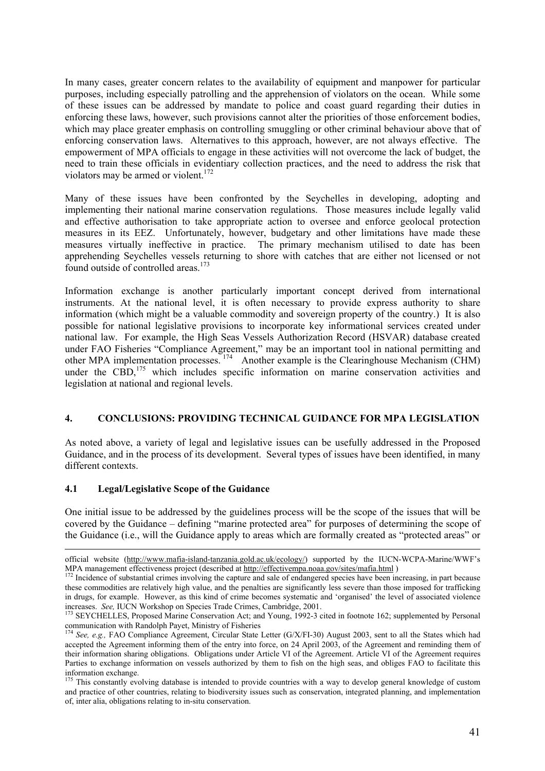In many cases, greater concern relates to the availability of equipment and manpower for particular purposes, including especially patrolling and the apprehension of violators on the ocean. While some of these issues can be addressed by mandate to police and coast guard regarding their duties in enforcing these laws, however, such provisions cannot alter the priorities of those enforcement bodies, which may place greater emphasis on controlling smuggling or other criminal behaviour above that of enforcing conservation laws. Alternatives to this approach, however, are not always effective. The empowerment of MPA officials to engage in these activities will not overcome the lack of budget, the need to train these officials in evidentiary collection practices, and the need to address the risk that violators may be armed or violent.<sup>172</sup>

Many of these issues have been confronted by the Seychelles in developing, adopting and implementing their national marine conservation regulations. Those measures include legally valid and effective authorisation to take appropriate action to oversee and enforce geolocal protection measures in its EEZ. Unfortunately, however, budgetary and other limitations have made these measures virtually ineffective in practice. The primary mechanism utilised to date has been apprehending Seychelles vessels returning to shore with catches that are either not licensed or not found outside of controlled areas.<sup>173</sup>

Information exchange is another particularly important concept derived from international instruments. At the national level, it is often necessary to provide express authority to share information (which might be a valuable commodity and sovereign property of the country.) It is also possible for national legislative provisions to incorporate key informational services created under national law. For example, the High Seas Vessels Authorization Record (HSVAR) database created under FAO Fisheries "Compliance Agreement," may be an important tool in national permitting and other MPA implementation processes.<sup>174</sup> Another example is the Clearinghouse Mechanism (CHM) under the  $\widehat{CBD}$ ,<sup>175</sup> which includes specific information on marine conservation activities and legislation at national and regional levels.

# **4. CONCLUSIONS: PROVIDING TECHNICAL GUIDANCE FOR MPA LEGISLATION**

As noted above, a variety of legal and legislative issues can be usefully addressed in the Proposed Guidance, and in the process of its development. Several types of issues have been identified, in many different contexts.

### **4.1 Legal/Legislative Scope of the Guidance**

One initial issue to be addressed by the guidelines process will be the scope of the issues that will be covered by the Guidance – defining "marine protected area" for purposes of determining the scope of the Guidance (i.e., will the Guidance apply to areas which are formally created as "protected areas" or

official website (http://www.mafia-island-tanzania.gold.ac.uk/ecology/) supported by the IUCN-WCPA-Marine/WWF's MPA management effectiveness project (described at http://effectivempa.noaa.gov/sites/mafia.html)

<sup>&</sup>lt;sup>172</sup> Incidence of substantial crimes involving the capture and sale of endangered species have been increasing, in part because these commodities are relatively high value, and the penalties are significantly less severe than those imposed for trafficking in drugs, for example. However, as this kind of crime becomes systematic and 'organised' the level of associated violence increases. *See, IUCN Workshop on Species Trade Crimes, Cambridge, 2001*.<br><sup>173</sup> SEYCHELLES, Proposed Marine Conservation Act; and Young, 1992-3 cited in footnote 162; supplemented by Personal

communication with Randolph Payet, Ministry of Fisheries<br><sup>174</sup> *See, e.g.,* FAO Compliance Agreement, Circular State Letter (G/X/FI-30) August 2003, sent to all the States which had

accepted the Agreement informing them of the entry into force, on 24 April 2003, of the Agreement and reminding them of their information sharing obligations. Obligations under Article VI of the Agreement. Article VI of the Agreement requires Parties to exchange information on vessels authorized by them to fish on the high seas, and obliges FAO to facilitate this information exchange.

<sup>&</sup>lt;sup>175</sup> This constantly evolving database is intended to provide countries with a way to develop general knowledge of custom and practice of other countries, relating to biodiversity issues such as conservation, integrated planning, and implementation of, inter alia, obligations relating to in-situ conservation.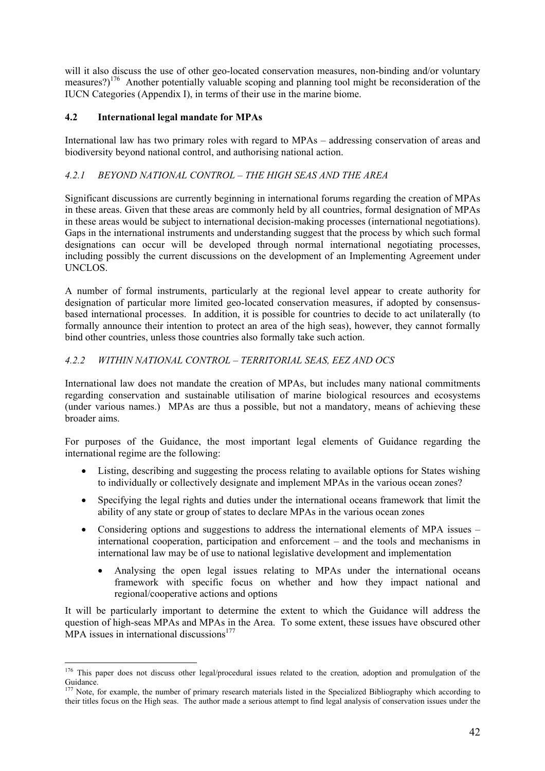will it also discuss the use of other geo-located conservation measures, non-binding and/or voluntary measures?)<sup>176</sup> Another potentially valuable scoping and planning tool might be reconsideration of the IUCN Categories (Appendix I), in terms of their use in the marine biome.

# **4.2 International legal mandate for MPAs**

 $\overline{a}$ 

International law has two primary roles with regard to MPAs – addressing conservation of areas and biodiversity beyond national control, and authorising national action.

# *4.2.1 BEYOND NATIONAL CONTROL – THE HIGH SEAS AND THE AREA*

Significant discussions are currently beginning in international forums regarding the creation of MPAs in these areas. Given that these areas are commonly held by all countries, formal designation of MPAs in these areas would be subject to international decision-making processes (international negotiations). Gaps in the international instruments and understanding suggest that the process by which such formal designations can occur will be developed through normal international negotiating processes, including possibly the current discussions on the development of an Implementing Agreement under UNCLOS.

A number of formal instruments, particularly at the regional level appear to create authority for designation of particular more limited geo-located conservation measures, if adopted by consensusbased international processes. In addition, it is possible for countries to decide to act unilaterally (to formally announce their intention to protect an area of the high seas), however, they cannot formally bind other countries, unless those countries also formally take such action.

# *4.2.2 WITHIN NATIONAL CONTROL – TERRITORIAL SEAS, EEZ AND OCS*

International law does not mandate the creation of MPAs, but includes many national commitments regarding conservation and sustainable utilisation of marine biological resources and ecosystems (under various names.) MPAs are thus a possible, but not a mandatory, means of achieving these broader aims.

For purposes of the Guidance, the most important legal elements of Guidance regarding the international regime are the following:

- Listing, describing and suggesting the process relating to available options for States wishing to individually or collectively designate and implement MPAs in the various ocean zones?
- Specifying the legal rights and duties under the international oceans framework that limit the ability of any state or group of states to declare MPAs in the various ocean zones
- Considering options and suggestions to address the international elements of MPA issues international cooperation, participation and enforcement – and the tools and mechanisms in international law may be of use to national legislative development and implementation
	- Analysing the open legal issues relating to MPAs under the international oceans framework with specific focus on whether and how they impact national and regional/cooperative actions and options

It will be particularly important to determine the extent to which the Guidance will address the question of high-seas MPAs and MPAs in the Area. To some extent, these issues have obscured other MPA issues in international discussions $177$ 

<sup>&</sup>lt;sup>176</sup> This paper does not discuss other legal/procedural issues related to the creation, adoption and promulgation of the Guidance.

Note, for example, the number of primary research materials listed in the Specialized Bibliography which according to their titles focus on the High seas. The author made a serious attempt to find legal analysis of conservation issues under the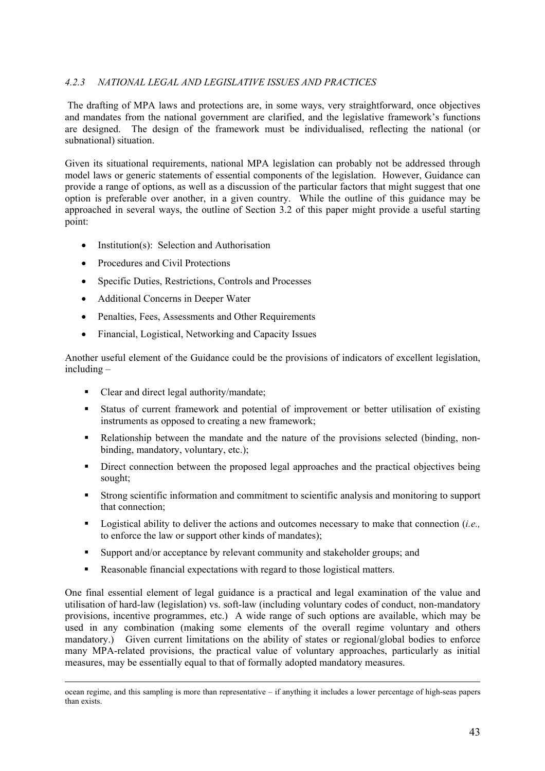# *4.2.3 NATIONAL LEGAL AND LEGISLATIVE ISSUES AND PRACTICES*

The drafting of MPA laws and protections are, in some ways, very straightforward, once objectives and mandates from the national government are clarified, and the legislative framework's functions are designed. The design of the framework must be individualised, reflecting the national (or subnational) situation.

Given its situational requirements, national MPA legislation can probably not be addressed through model laws or generic statements of essential components of the legislation. However, Guidance can provide a range of options, as well as a discussion of the particular factors that might suggest that one option is preferable over another, in a given country. While the outline of this guidance may be approached in several ways, the outline of Section 3.2 of this paper might provide a useful starting point:

- Institution(s): Selection and Authorisation
- Procedures and Civil Protections
- Specific Duties, Restrictions, Controls and Processes
- Additional Concerns in Deeper Water
- Penalties, Fees, Assessments and Other Requirements
- Financial, Logistical, Networking and Capacity Issues

Another useful element of the Guidance could be the provisions of indicators of excellent legislation, including –

- Clear and direct legal authority/mandate;
- Status of current framework and potential of improvement or better utilisation of existing instruments as opposed to creating a new framework;
- Relationship between the mandate and the nature of the provisions selected (binding, nonbinding, mandatory, voluntary, etc.);
- Direct connection between the proposed legal approaches and the practical objectives being sought;
- Strong scientific information and commitment to scientific analysis and monitoring to support that connection;
- Logistical ability to deliver the actions and outcomes necessary to make that connection (*i.e.,* to enforce the law or support other kinds of mandates);
- Support and/or acceptance by relevant community and stakeholder groups; and
- Reasonable financial expectations with regard to those logistical matters.

One final essential element of legal guidance is a practical and legal examination of the value and utilisation of hard-law (legislation) vs. soft-law (including voluntary codes of conduct, non-mandatory provisions, incentive programmes, etc.) A wide range of such options are available, which may be used in any combination (making some elements of the overall regime voluntary and others mandatory.) Given current limitations on the ability of states or regional/global bodies to enforce many MPA-related provisions, the practical value of voluntary approaches, particularly as initial measures, may be essentially equal to that of formally adopted mandatory measures.

ocean regime, and this sampling is more than representative – if anything it includes a lower percentage of high-seas papers than exists.